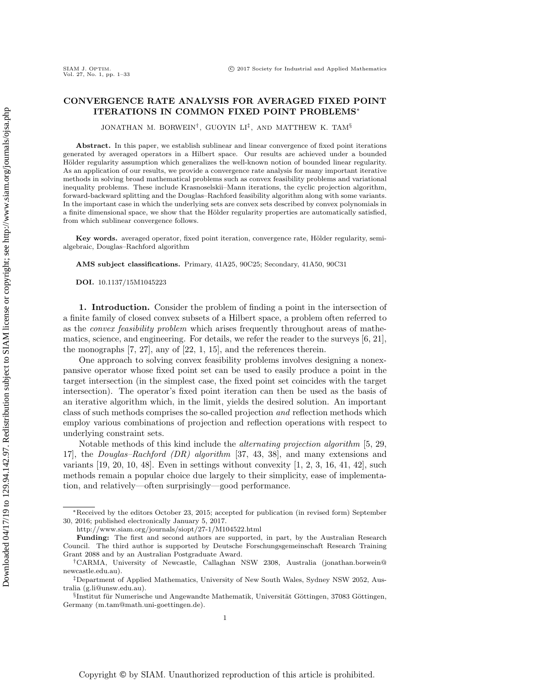## CONVERGENCE RATE ANALYSIS FOR AVERAGED FIXED POINT ITERATIONS IN COMMON FIXED POINT PROBLEMS<sup>∗</sup>

JONATHAN M. BORWEIN† , GUOYIN LI‡ , AND MATTHEW K. TAM§

Abstract. In this paper, we establish sublinear and linear convergence of fixed point iterations generated by averaged operators in a Hilbert space. Our results are achieved under a bounded Hölder regularity assumption which generalizes the well-known notion of bounded linear regularity. As an application of our results, we provide a convergence rate analysis for many important iterative methods in solving broad mathematical problems such as convex feasibility problems and variational inequality problems. These include Krasnoselskii–Mann iterations, the cyclic projection algorithm, forward-backward splitting and the Douglas–Rachford feasibility algorithm along with some variants. In the important case in which the underlying sets are convex sets described by convex polynomials in a finite dimensional space, we show that the Hölder regularity properties are automatically satisfied, from which sublinear convergence follows.

Key words. averaged operator, fixed point iteration, convergence rate, Hölder regularity, semialgebraic, Douglas–Rachford algorithm

AMS subject classifications. Primary, 41A25, 90C25; Secondary, 41A50, 90C31

DOI. 10.1137/15M1045223

SIAM J. OPTIM.<br>Vol. 27, No. 1, pp. 1–33

1. Introduction. Consider the problem of finding a point in the intersection of a finite family of closed convex subsets of a Hilbert space, a problem often referred to as the convex feasibility problem which arises frequently throughout areas of mathematics, science, and engineering. For details, we refer the reader to the surveys [\[6,](#page-31-0) [21\]](#page-31-1), the monographs [\[7,](#page-31-2) [27\]](#page-31-3), any of [\[22,](#page-31-4) [1,](#page-30-0) [15\]](#page-31-5), and the references therein.

One approach to solving convex feasibility problems involves designing a nonexpansive operator whose fixed point set can be used to easily produce a point in the target intersection (in the simplest case, the fixed point set coincides with the target intersection). The operator's fixed point iteration can then be used as the basis of an iterative algorithm which, in the limit, yields the desired solution. An important class of such methods comprises the so-called projection and reflection methods which employ various combinations of projection and reflection operations with respect to underlying constraint sets.

Notable methods of this kind include the *alternating projection algorithm* [\[5,](#page-31-6) [29,](#page-31-7) [17\]](#page-31-8), the Douglas–Rachford (DR) algorithm [\[37,](#page-32-0) [43,](#page-32-1) [38\]](#page-32-2), and many extensions and variants  $[19, 20, 10, 48]$  $[19, 20, 10, 48]$  $[19, 20, 10, 48]$  $[19, 20, 10, 48]$ . Even in settings without convexity  $[1, 2, 3, 16, 41, 42]$  $[1, 2, 3, 16, 41, 42]$  $[1, 2, 3, 16, 41, 42]$  $[1, 2, 3, 16, 41, 42]$  $[1, 2, 3, 16, 41, 42]$  $[1, 2, 3, 16, 41, 42]$ , such methods remain a popular choice due largely to their simplicity, ease of implementation, and relatively—often surprisingly—good performance.

<sup>∗</sup>Received by the editors October 23, 2015; accepted for publication (in revised form) September 30, 2016; published electronically January 5, 2017.

<http://www.siam.org/journals/siopt/27-1/M104522.html>

Funding: The first and second authors are supported, in part, by the Australian Research Council. The third author is supported by Deutsche Forschungsgemeinschaft Research Training Grant 2088 and by an Australian Postgraduate Award.

<sup>†</sup>CARMA, University of Newcastle, Callaghan NSW 2308, Australia [\(jonathan.borwein@](mailto:jonathan.borwein@newcastle.edu.au) [newcastle.edu.au\)](mailto:jonathan.borwein@newcastle.edu.au).

<sup>‡</sup>Department of Applied Mathematics, University of New South Wales, Sydney NSW 2052, Australia [\(g.li@unsw.edu.au\)](mailto:g.li@unsw.edu.au).

 $\S$ Institut für Numerische und Angewandte Mathematik, Universität Göttingen, 37083 Göttingen, Germany [\(m.tam@math.uni-goettingen.de\)](mailto:m.tam@math.uni-goettingen.de).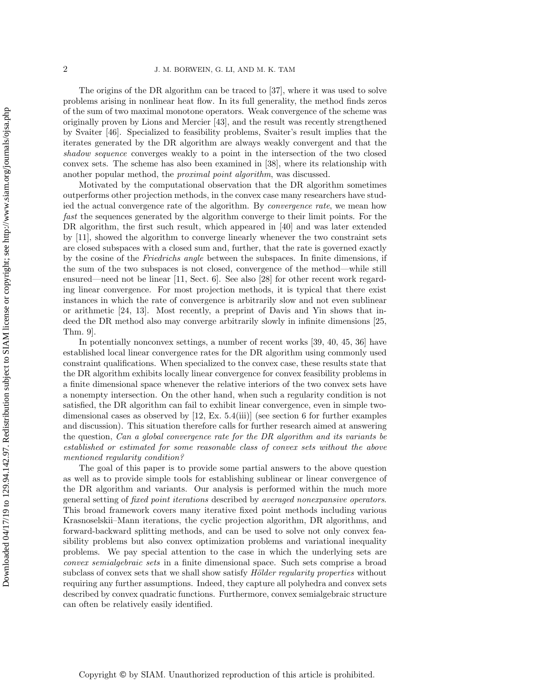The origins of the DR algorithm can be traced to [\[37\]](#page-32-0), where it was used to solve problems arising in nonlinear heat flow. In its full generality, the method finds zeros of the sum of two maximal monotone operators. Weak convergence of the scheme was originally proven by Lions and Mercier [\[43\]](#page-32-1), and the result was recently strengthened by Svaiter [\[46\]](#page-32-6). Specialized to feasibility problems, Svaiter's result implies that the iterates generated by the DR algorithm are always weakly convergent and that the shadow sequence converges weakly to a point in the intersection of the two closed convex sets. The scheme has also been examined in [\[38\]](#page-32-2), where its relationship with another popular method, the proximal point algorithm, was discussed.

Motivated by the computational observation that the DR algorithm sometimes outperforms other projection methods, in the convex case many researchers have studied the actual convergence rate of the algorithm. By convergence rate, we mean how fast the sequences generated by the algorithm converge to their limit points. For the DR algorithm, the first such result, which appeared in [\[40\]](#page-32-7) and was later extended by [\[11\]](#page-31-13), showed the algorithm to converge linearly whenever the two constraint sets are closed subspaces with a closed sum and, further, that the rate is governed exactly by the cosine of the Friedrichs angle between the subspaces. In finite dimensions, if the sum of the two subspaces is not closed, convergence of the method—while still ensured—need not be linear [\[11,](#page-31-13) Sect. 6]. See also [\[28\]](#page-31-14) for other recent work regarding linear convergence. For most projection methods, it is typical that there exist instances in which the rate of convergence is arbitrarily slow and not even sublinear or arithmetic [\[24,](#page-31-15) [13\]](#page-31-16). Most recently, a preprint of Davis and Yin shows that indeed the DR method also may converge arbitrarily slowly in infinite dimensions [\[25,](#page-31-17) Thm. 9].

In potentially nonconvex settings, a number of recent works [\[39,](#page-32-8) [40,](#page-32-7) [45,](#page-32-9) [36\]](#page-32-10) have established local linear convergence rates for the DR algorithm using commonly used constraint qualifications. When specialized to the convex case, these results state that the DR algorithm exhibits locally linear convergence for convex feasibility problems in a finite dimensional space whenever the relative interiors of the two convex sets have a nonempty intersection. On the other hand, when such a regularity condition is not satisfied, the DR algorithm can fail to exhibit linear convergence, even in simple twodimensional cases as observed by [\[12,](#page-31-18) Ex. 5.4(iii)] (see section [6](#page-24-0) for further examples and discussion). This situation therefore calls for further research aimed at answering the question, Can a global convergence rate for the DR algorithm and its variants be established or estimated for some reasonable class of convex sets without the above mentioned regularity condition?

The goal of this paper is to provide some partial answers to the above question as well as to provide simple tools for establishing sublinear or linear convergence of the DR algorithm and variants. Our analysis is performed within the much more general setting of fixed point iterations described by averaged nonexpansive operators. This broad framework covers many iterative fixed point methods including various Krasnoselskii–Mann iterations, the cyclic projection algorithm, DR algorithms, and forward-backward splitting methods, and can be used to solve not only convex feasibility problems but also convex optimization problems and variational inequality problems. We pay special attention to the case in which the underlying sets are convex semialgebraic sets in a finite dimensional space. Such sets comprise a broad subclass of convex sets that we shall show satisfy Hölder regularity properties without requiring any further assumptions. Indeed, they capture all polyhedra and convex sets described by convex quadratic functions. Furthermore, convex semialgebraic structure can often be relatively easily identified.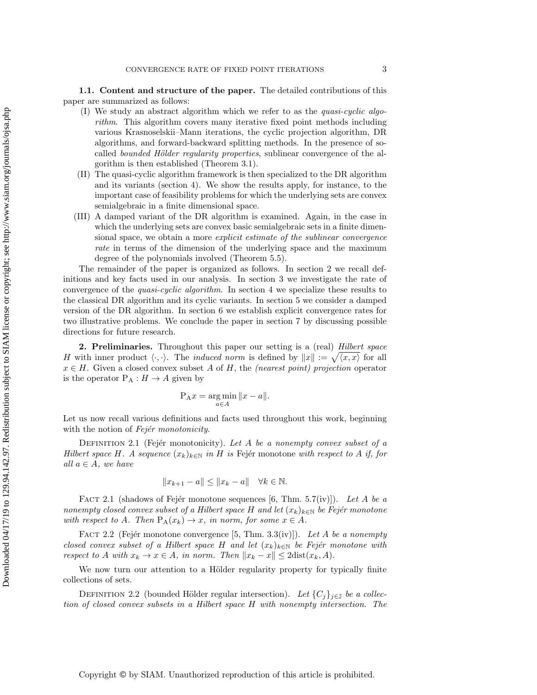1.1. Content and structure of the paper. The detailed contributions of this paper are summarized as follows:

- (I) We study an abstract algorithm which we refer to as the quasi-cyclic algorithm. This algorithm covers many iterative fixed point methods including various Krasnoselskii–Mann iterations, the cyclic projection algorithm, DR algorithms, and forward-backward splitting methods. In the presence of socalled bounded Hölder regularity properties, sublinear convergence of the algorithm is then established (Theorem [3.1\)](#page-8-0).
- (II) The quasi-cyclic algorithm framework is then specialized to the DR algorithm and its variants (section [4\)](#page-15-0). We show the results apply, for instance, to the important case of feasibility problems for which the underlying sets are convex semialgebraic in a finite dimensional space.
- (III) A damped variant of the DR algorithm is examined. Again, in the case in which the underlying sets are convex basic semialgebraic sets in a finite dimensional space, we obtain a more explicit estimate of the sublinear convergence rate in terms of the dimension of the underlying space and the maximum degree of the polynomials involved (Theorem [5.5\)](#page-23-0).

The remainder of the paper is organized as follows. In section [2](#page-2-0) we recall definitions and key facts used in our analysis. In section [3](#page-5-0) we investigate the rate of convergence of the quasi-cyclic algorithm. In section [4](#page-15-0) we specialize these results to the classical DR algorithm and its cyclic variants. In section [5](#page-19-0) we consider a damped version of the DR algorithm. In section [6](#page-24-0) we establish explicit convergence rates for two illustrative problems. We conclude the paper in section [7](#page-30-3) by discussing possible directions for future research.

<span id="page-2-0"></span>**2. Preliminaries.** Throughout this paper our setting is a (real) *Hilbert space* H with inner product  $\langle \cdot, \cdot \rangle$ . The *induced norm* is defined by  $||x|| := \sqrt{\langle x, x \rangle}$  for all  $x \in H$ . Given a closed convex subset A of H, the *(nearest point)* projection operator is the operator  $P_A: H \to A$  given by

$$
\mathbf{P}_{\mathbf{A}}x = \underset{a \in A}{\arg\min} \|x - a\|.
$$

Let us now recall various definitions and facts used throughout this work, beginning with the notion of Fejér monotonicity.

DEFINITION 2.1 (Fejér monotonicity). Let A be a nonempty convex subset of a Hilbert space H. A sequence  $(x_k)_{k\in\mathbb{N}}$  in H is Fejér monotone with respect to A if, for all  $a \in A$ , we have

$$
||x_{k+1} - a|| \le ||x_k - a|| \quad \forall k \in \mathbb{N}.
$$

<span id="page-2-2"></span>FACT 2.1 (shadows of Fejér monotone sequences [\[6,](#page-31-0) Thm. 5.7(iv)]). Let A be a nonempty closed convex subset of a Hilbert space H and let  $(x_k)_{k\in\mathbb{N}}$  be Fejér monotone with respect to A. Then  $P_A(x_k) \to x$ , in norm, for some  $x \in A$ .

<span id="page-2-3"></span>FACT 2.2 (Fejér monotone convergence [\[5,](#page-31-6) Thm. 3.3(iv)]). Let A be a nonempty closed convex subset of a Hilbert space H and let  $(x_k)_{k\in\mathbb{N}}$  be Fejér monotone with respect to A with  $x_k \to x \in A$ , in norm. Then  $||x_k - x|| \leq 2\text{dist}(x_k, A)$ .

We now turn our attention to a Hölder regularity property for typically finite collections of sets.

<span id="page-2-1"></span>DEFINITION 2.2 (bounded Hölder regular intersection). Let  ${C_i}_{i \in \mathbb{J}}$  be a collection of closed convex subsets in a Hilbert space H with nonempty intersection. The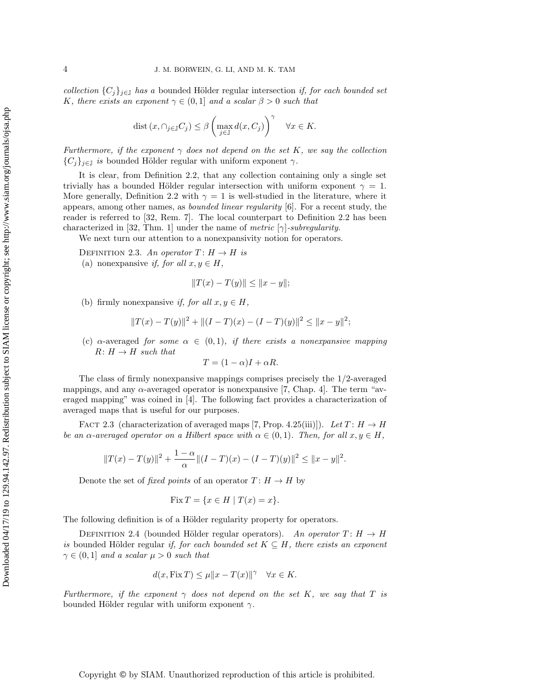collection  $\{C_j\}_{j\in\mathbb{J}}$  has a bounded Hölder regular intersection if, for each bounded set K, there exists an exponent  $\gamma \in (0,1]$  and a scalar  $\beta > 0$  such that

$$
\text{dist}\left(x,\cap_{j\in\mathbb{J}}C_j\right)\leq\beta\left(\max_{j\in\mathbb{J}}d(x,C_j)\right)^\gamma\quad\forall x\in K.
$$

Furthermore, if the exponent  $\gamma$  does not depend on the set K, we say the collection  ${C_j}_{j \in J}$  is bounded Hölder regular with uniform exponent  $\gamma$ .

It is clear, from Definition [2.2,](#page-2-1) that any collection containing only a single set trivially has a bounded Hölder regular intersection with uniform exponent  $\gamma = 1$ . More generally, Definition [2.2](#page-2-1) with  $\gamma = 1$  is well-studied in the literature, where it appears, among other names, as bounded linear regularity [\[6\]](#page-31-0). For a recent study, the reader is referred to [\[32,](#page-31-19) Rem. 7]. The local counterpart to Definition [2.2](#page-2-1) has been characterized in [\[32,](#page-31-19) Thm. 1] under the name of metric  $[\gamma]$ -subregularity.

We next turn our attention to a nonexpansivity notion for operators.

DEFINITION 2.3. An operator  $T: H \rightarrow H$  is (a) nonexpansive if, for all  $x, y \in H$ ,

<span id="page-3-2"></span>
$$
||T(x) - T(y)|| \le ||x - y||;
$$

(b) firmly nonexpansive if, for all  $x, y \in H$ ,

$$
||T(x) - T(y)||^2 + ||(I - T)(x) - (I - T)(y)||^2 \le ||x - y||^2;
$$

(c)  $\alpha$ -averaged for some  $\alpha \in (0,1)$ , if there exists a nonexpansive mapping  $R: H \to H$  such that

$$
T = (1 - \alpha)I + \alpha R.
$$

The class of firmly nonexpansive mappings comprises precisely the 1/2-averaged mappings, and any  $\alpha$ -averaged operator is nonexpansive [\[7,](#page-31-2) Chap. 4]. The term "averaged mapping" was coined in [\[4\]](#page-31-20). The following fact provides a characterization of averaged maps that is useful for our purposes.

<span id="page-3-1"></span>FACT 2.3 (characterization of averaged maps [\[7,](#page-31-2) Prop. 4.25(iii)]). Let  $T: H \to H$ be an  $\alpha$ -averaged operator on a Hilbert space with  $\alpha \in (0,1)$ . Then, for all  $x, y \in H$ ,

$$
||T(x) - T(y)||^{2} + \frac{1 - \alpha}{\alpha} ||(I - T)(x) - (I - T)(y)||^{2} \le ||x - y||^{2}.
$$

Denote the set of *fixed points* of an operator  $T: H \to H$  by

<span id="page-3-0"></span>
$$
\text{Fix}\,T = \{x \in H \mid T(x) = x\}.
$$

The following definition is of a Hölder regularity property for operators.

DEFINITION 2.4 (bounded Hölder regular operators). An operator  $T: H \to H$ is bounded Hölder regular if, for each bounded set  $K \subseteq H$ , there exists an exponent  $\gamma \in (0,1]$  and a scalar  $\mu > 0$  such that

$$
d(x, \text{Fix } T) \le \mu \|x - T(x)\|^\gamma \quad \forall x \in K.
$$

Furthermore, if the exponent  $\gamma$  does not depend on the set K, we say that T is bounded Hölder regular with uniform exponent  $\gamma$ .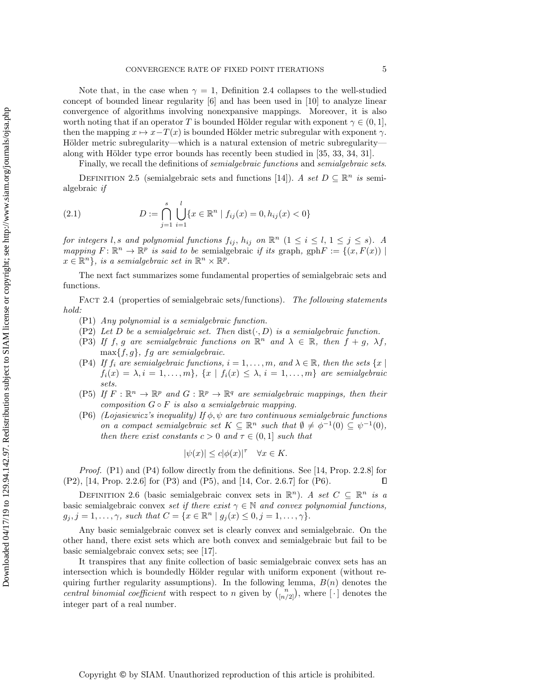Note that, in the case when  $\gamma = 1$ , Definition [2.4](#page-3-0) collapses to the well-studied concept of bounded linear regularity [\[6\]](#page-31-0) and has been used in [\[10\]](#page-31-11) to analyze linear convergence of algorithms involving nonexpansive mappings. Moreover, it is also worth noting that if an operator T is bounded Hölder regular with exponent  $\gamma \in (0,1],$ then the mapping  $x \mapsto x-T(x)$  is bounded Hölder metric subregular with exponent  $\gamma$ . Hölder metric subregularity—which is a natural extension of metric subregularity— along with Hölder type error bounds has recently been studied in [\[35,](#page-32-11) [33,](#page-31-21) [34,](#page-32-12) [31\]](#page-31-22).

Finally, we recall the definitions of *semialgebraic functions* and *semialgebraic sets*.

DEFINITION 2.5 (semialgebraic sets and functions [\[14\]](#page-31-23)). A set  $D \subseteq \mathbb{R}^n$  is semialgebraic if

<span id="page-4-1"></span>(2.1) 
$$
D := \bigcap_{j=1}^{s} \bigcup_{i=1}^{l} \{x \in \mathbb{R}^{n} \mid f_{ij}(x) = 0, h_{ij}(x) < 0\}
$$

for integers l, s and polynomial functions  $f_{ij}$ ,  $h_{ij}$  on  $\mathbb{R}^n$   $(1 \le i \le l, 1 \le j \le s)$ . A mapping  $F: \mathbb{R}^n \to \mathbb{R}^p$  is said to be semialgebraic if its graph,  $gphF := \{(x, F(x)) \mid$  $x \in \mathbb{R}^n$ , is a semialgebraic set in  $\mathbb{R}^n \times \mathbb{R}^p$ .

The next fact summarizes some fundamental properties of semialgebraic sets and functions.

<span id="page-4-0"></span>FACT 2.4 (properties of semialgebraic sets/functions). The following statements hold:

- (P1) Any polynomial is a semialgebraic function.
- (P2) Let D be a semialgebraic set. Then  $dist(\cdot, D)$  is a semialgebraic function.
- (P3) If f, g are semialgebraic functions on  $\mathbb{R}^n$  and  $\lambda \in \mathbb{R}$ , then  $f + g$ ,  $\lambda f$ ,  $\max\{f, g\}$ , fg are semialgebraic.
- (P4) If  $f_i$  are semialgebraic functions,  $i = 1, \ldots, m$ , and  $\lambda \in \mathbb{R}$ , then the sets  $\{x \mid$  $f_i(x) = \lambda, i = 1, \ldots, m$ ,  $\{x \mid f_i(x) \leq \lambda, i = 1, \ldots, m\}$  are semialgebraic sets.
- (P5) If  $F: \mathbb{R}^n \to \mathbb{R}^p$  and  $G: \mathbb{R}^p \to \mathbb{R}^q$  are semialgebraic mappings, then their composition  $G \circ F$  is also a semialgebraic mapping.
- (P6) (*Lojasiewicz's inequality*) If  $\phi, \psi$  are two continuous semialgebraic functions on a compact semialgebraic set  $K \subseteq \mathbb{R}^n$  such that  $\emptyset \neq \phi^{-1}(0) \subseteq \psi^{-1}(0)$ , then there exist constants  $c > 0$  and  $\tau \in (0, 1]$  such that

$$
|\psi(x)| \le c|\phi(x)|^{\tau} \quad \forall x \in K.
$$

Proof. (P1) and (P4) follow directly from the definitions. See [\[14,](#page-31-23) Prop. 2.2.8] for (P2), [\[14,](#page-31-23) Prop. 2.2.6] for (P3) and (P5), and [\[14,](#page-31-23) Cor. 2.6.7] for (P6).  $\Box$ 

DEFINITION 2.6 (basic semialgebraic convex sets in  $\mathbb{R}^n$ ). A set  $C \subseteq \mathbb{R}^n$  is a basic semialgebraic convex set if there exist  $\gamma \in \mathbb{N}$  and convex polynomial functions,  $g_j, j = 1, \ldots, \gamma$ , such that  $C = \{x \in \mathbb{R}^n \mid g_j(x) \leq 0, j = 1, \ldots, \gamma\}.$ 

Any basic semialgebraic convex set is clearly convex and semialgebraic. On the other hand, there exist sets which are both convex and semialgebraic but fail to be basic semialgebraic convex sets; see [\[17\]](#page-31-8).

<span id="page-4-2"></span>It transpires that any finite collection of basic semialgebraic convex sets has an intersection which is boundedly Hölder regular with uniform exponent (without requiring further regularity assumptions). In the following lemma,  $B(n)$  denotes the central binomial coefficient with respect to n given by  $\binom{n}{\lfloor n/2 \rfloor}$ , where  $\lfloor \cdot \rfloor$  denotes the integer part of a real number.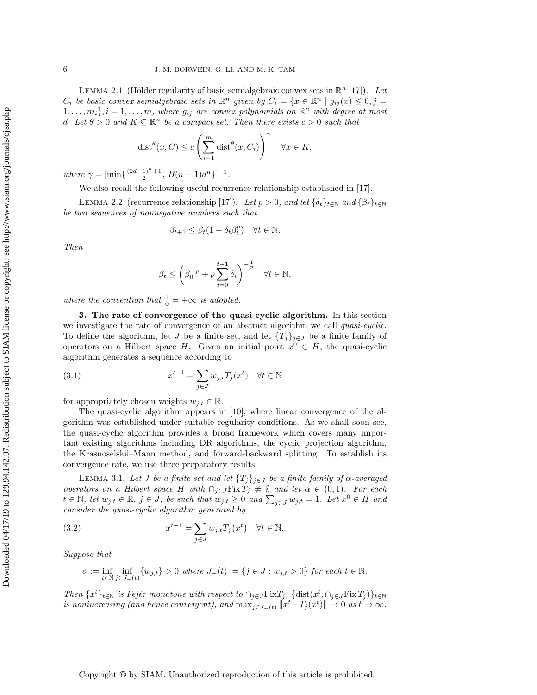LEMMA 2.1 (Hölder regularity of basic semialgebraic convex sets in  $\mathbb{R}^n$  [\[17\]](#page-31-8)). Let  $C_i$  be basic convex semialgebraic sets in  $\mathbb{R}^n$  given by  $C_i = \{x \in \mathbb{R}^n \mid g_{ij}(x) \leq 0, j = 1\}$  $1, \ldots, m_i$ ,  $i = 1, \ldots, m$ , where  $g_{ij}$  are convex polynomials on  $\mathbb{R}^n$  with degree at most d. Let  $\theta > 0$  and  $K \subseteq \mathbb{R}^n$  be a compact set. Then there exists  $c > 0$  such that

$$
\text{dist}^{\theta}(x, C) \le c \left( \sum_{i=1}^{m} \text{dist}^{\theta}(x, C_i) \right)^{\gamma} \quad \forall x \in K,
$$

where  $\gamma = \left[\min\left\{\frac{(2d-1)^n + 1}{2}\right\}\right]$  $\frac{1)^{n}+1}{2}$ ,  $B(n-1)d^{n}\}]^{-1}$ .

We also recall the following useful recurrence relationship established in [\[17\]](#page-31-8).

LEMMA 2.2 (recurrence relationship [\[17\]](#page-31-8)). Let  $p > 0$ , and let  $\{\delta_t\}_{t \in \mathbb{N}}$  and  $\{\beta_t\}_{t \in \mathbb{N}}$ be two sequences of nonnegative numbers such that

<span id="page-5-1"></span>
$$
\beta_{t+1} \leq \beta_t (1 - \delta_t \beta_t^p) \quad \forall t \in \mathbb{N}.
$$

Then

$$
\beta_t \le \left(\beta_0^{-p} + p \sum_{i=0}^{t-1} \delta_i\right)^{-\frac{1}{p}} \quad \forall t \in \mathbb{N},
$$

where the convention that  $\frac{1}{0} = +\infty$  is adopted.

<span id="page-5-0"></span>3. The rate of convergence of the quasi-cyclic algorithm. In this section we investigate the rate of convergence of an abstract algorithm we call *quasi-cyclic*. To define the algorithm, let J be a finite set, and let  $\{T_j\}_{j\in J}$  be a finite family of operators on a Hilbert space H. Given an initial point  $x^0 \in H$ , the quasi-cyclic algorithm generates a sequence according to

<span id="page-5-2"></span>(3.1) 
$$
x^{t+1} = \sum_{j \in J} w_{j,t} T_j(x^t) \quad \forall t \in \mathbb{N}
$$

for appropriately chosen weights  $w_{i,t} \in \mathbb{R}$ .

The quasi-cyclic algorithm appears in [\[10\]](#page-31-11), where linear convergence of the algorithm was established under suitable regularity conditions. As we shall soon see, the quasi-cyclic algorithm provides a broad framework which covers many important existing algorithms including DR algorithms, the cyclic projection algorithm, the Krasnoselskii–Mann method, and forward-backward splitting. To establish its convergence rate, we use three preparatory results.

<span id="page-5-3"></span>LEMMA 3.1. Let J be a finite set and let  $\{T_j\}_{j\in J}$  be a finite family of  $\alpha$ -averaged operators on a Hilbert space H with  $\bigcap_{j\in J} \text{Fix } T_j \neq \emptyset$  and let  $\alpha \in (0,1)$ . For each  $t \in \mathbb{N}$ , let  $w_{j,t} \in \mathbb{R}$ ,  $j \in J$ , be such that  $w_{j,t} \ge 0$  and  $\sum_{j \in J} w_{j,t} = 1$ . Let  $x^0 \in H$  and consider the quasi-cyclic algorithm generated by

(3.2) 
$$
x^{t+1} = \sum_{j \in J} w_{j,t} T_j(x^t) \quad \forall t \in \mathbb{N}.
$$

Suppose that

$$
\sigma:=\inf_{t\in\mathbb{N}}\inf_{j\in J_+(t)}\{w_{j,t}\}>0\ \text{where}\ J_+(t):=\{j\in J:w_{j,t}>0\}\ \text{for each}\ t\in\mathbb{N}.
$$

Then  $\{x^t\}_{t\in\mathbb{N}}$  is Fejér monotone with respect to  $\bigcap_{j\in J} \text{Fix} T_j$ ,  $\{\text{dist}(x^t, \bigcap_{j\in J} \text{Fix} T_j)\}_{t\in\mathbb{N}}$ is nonincreasing (and hence convergent), and  $\max_{j\in J_+(t)} ||x^t - T_j(x^t)|| \to 0$  as  $t \to \infty$ .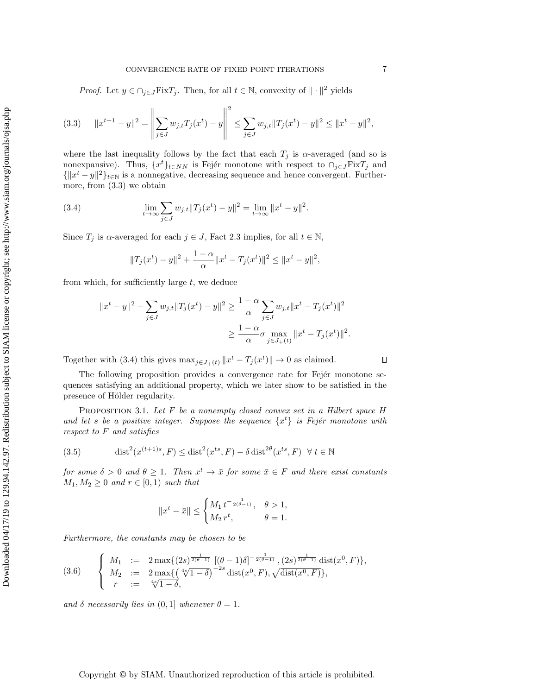## CONVERGENCE RATE OF FIXED POINT ITERATIONS 7

*Proof.* Let  $y \in \bigcap_{j \in J} \text{Fix} T_j$ . Then, for all  $t \in \mathbb{N}$ , convexity of  $\|\cdot\|^2$  yields

<span id="page-6-0"></span>
$$
(3.3) \qquad \|x^{t+1} - y\|^2 = \left\| \sum_{j \in J} w_{j,t} T_j(x^t) - y \right\|^2 \le \sum_{j \in J} w_{j,t} \|T_j(x^t) - y\|^2 \le \|x^t - y\|^2,
$$

where the last inequality follows by the fact that each  $T_j$  is  $\alpha$ -averaged (and so is nonexpansive). Thus,  $\{x^t\}_{t \in NN}$  is Fejér monotone with respect to  $\bigcap_{j \in J} \text{Fix} T_j$  and  ${\|x^t - y\|^2}_{t \in \mathbb{N}}$  is a nonnegative, decreasing sequence and hence convergent. Furthermore, from [\(3.3\)](#page-6-0) we obtain

(3.4) 
$$
\lim_{t \to \infty} \sum_{j \in J} w_{j,t} ||T_j(x^t) - y||^2 = \lim_{t \to \infty} ||x^t - y||^2.
$$

Since  $T_j$  is  $\alpha$ -averaged for each  $j \in J$ , Fact [2.3](#page-3-1) implies, for all  $t \in \mathbb{N}$ ,

<span id="page-6-1"></span>
$$
||T_j(x^t) - y||^2 + \frac{1 - \alpha}{\alpha} ||x^t - T_j(x^t)||^2 \le ||x^t - y||^2,
$$

from which, for sufficiently large  $t$ , we deduce

$$
||x^{t} - y||^{2} - \sum_{j \in J} w_{j,t} ||T_{j}(x^{t}) - y||^{2} \ge \frac{1 - \alpha}{\alpha} \sum_{j \in J} w_{j,t} ||x^{t} - T_{j}(x^{t})||^{2}
$$
  

$$
\ge \frac{1 - \alpha}{\alpha} \sigma \max_{j \in J_{+}(t)} ||x^{t} - T_{j}(x^{t})||^{2}.
$$

Together with [\(3.4\)](#page-6-1) this gives  $\max_{j \in J_+(t)} ||x^t - T_j(x^t)|| \to 0$  as claimed.

The following proposition provides a convergence rate for Fejér monotone sequences satisfying an additional property, which we later show to be satisfied in the presence of Hölder regularity.

<span id="page-6-3"></span>PROPOSITION 3.1. Let  $F$  be a nonempty closed convex set in a Hilbert space  $H$ and let s be a positive integer. Suppose the sequence  $\{x^t\}$  is Fejér monotone with respect to F and satisfies

<span id="page-6-2"></span>(3.5) 
$$
\text{dist}^2(x^{(t+1)s}, F) \leq \text{dist}^2(x^{ts}, F) - \delta \text{dist}^{2\theta}(x^{ts}, F) \quad \forall \ t \in \mathbb{N}
$$

for some  $\delta > 0$  and  $\theta \geq 1$ . Then  $x^t \to \bar{x}$  for some  $\bar{x} \in F$  and there exist constants  $M_1, M_2 \geq 0$  and  $r \in [0, 1)$  such that

$$
||x^t - \bar{x}|| \le \begin{cases} M_1 t^{-\frac{1}{2(\theta - 1)}}, & \theta > 1, \\ M_2 r^t, & \theta = 1. \end{cases}
$$

Furthermore, the constants may be chosen to be

<span id="page-6-4"></span>
$$
(3.6) \qquad \begin{cases} M_1 &:= 2 \max\{(2s)^{\frac{1}{2(\theta-1)}} \left[ (\theta-1)\delta \right]^{-\frac{1}{2(\theta-1)}}, (2s)^{\frac{1}{2(\theta-1)}} \operatorname{dist}(x^0, F) \right\}, \\ M_2 &:= 2 \max\{ \left( \sqrt[4s]{1-\delta} \right)^{-2s} \operatorname{dist}(x^0, F), \sqrt{\operatorname{dist}(x^0, F)} \}, \\ r &:= \sqrt[4s]{1-\delta}, \end{cases}
$$

and  $\delta$  necessarily lies in  $(0, 1]$  whenever  $\theta = 1$ .

 $\Box$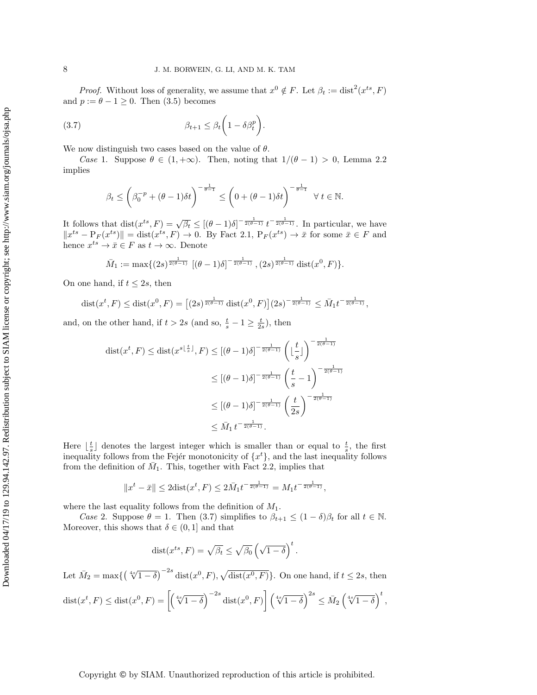*Proof.* Without loss of generality, we assume that  $x^0 \notin F$ . Let  $\beta_t := \text{dist}^2(x^{ts}, F)$ and  $p := \theta - 1 \geq 0$ . Then [\(3.5\)](#page-6-2) becomes

(3.7) βt+1 ≤ β<sup>t</sup> 1 − δβ<sup>p</sup> t .

We now distinguish two cases based on the value of  $\theta$ .

Case 1. Suppose  $\theta \in (1, +\infty)$ . Then, noting that  $1/(\theta - 1) > 0$ , Lemma [2.2](#page-5-1) implies

<span id="page-7-0"></span>
$$
\beta_t \le \left(\beta_0^{-p} + (\theta - 1)\delta t\right)^{-\frac{1}{\theta - 1}} \le \left(0 + (\theta - 1)\delta t\right)^{-\frac{1}{\theta - 1}} \quad \forall \ t \in \mathbb{N}.
$$

It follows that  $dist(x^{ts}, F) = \sqrt{\beta_t} \leq [(\theta - 1)\delta]^{-\frac{1}{2(\theta - 1)}} t^{-\frac{1}{2(\theta - 1)}}$ . In particular, we have  $||x^{ts} - P_F(x^{ts})|| = \text{dist}(x^{ts}, F) \to 0$ . By Fact [2.1,](#page-2-2)  $P_F(x^{ts}) \to \bar{x}$  for some  $\bar{x} \in F$  and hence  $x^{ts} \to \bar{x} \in F$  as  $t \to \infty$ . Denote

$$
\bar{M}_1 := \max\{(2s)^{\frac{1}{2(\theta-1)}} \left[ (\theta-1)\delta \right]^{-\frac{1}{2(\theta-1)}}, (2s)^{\frac{1}{2(\theta-1)}} \operatorname{dist}(x^0, F) \}.
$$

On one hand, if  $t \leq 2s$ , then

$$
\text{dist}(x^t, F) \le \text{dist}(x^0, F) = \left[ (2s)^{\frac{1}{2(\theta - 1)}} \text{dist}(x^0, F) \right] (2s)^{-\frac{1}{2(\theta - 1)}} \le \bar{M}_1 t^{-\frac{1}{2(\theta - 1)}},
$$

and, on the other hand, if  $t > 2s$  (and so,  $\frac{t}{s} - 1 \ge \frac{t}{2s}$ ), then

$$
\begin{aligned} \text{dist}(x^t, F) &\leq \text{dist}(x^{s \lfloor \frac{t}{s} \rfloor}, F) \leq \left[ (\theta - 1)\delta \right]^{-\frac{1}{2(\theta - 1)}} \left( \lfloor \frac{t}{s} \rfloor \right)^{-\frac{1}{2(\theta - 1)}} \\ &\leq \left[ (\theta - 1)\delta \right]^{-\frac{1}{2(\theta - 1)}} \left( \frac{t}{s} - 1 \right)^{-\frac{1}{2(\theta - 1)}} \\ &\leq \left[ (\theta - 1)\delta \right]^{-\frac{1}{2(\theta - 1)}} \left( \frac{t}{2s} \right)^{-\frac{1}{2(\theta - 1)}} \\ &\leq \bar{M}_1 \, t^{-\frac{1}{2(\theta - 1)}}. \end{aligned}
$$

Here  $\lfloor \frac{t}{s} \rfloor$  denotes the largest integer which is smaller than or equal to  $\frac{t}{s}$ , the first inequality follows from the Fejer monotonicity of  $\{x^{t}\}$ , and the last inequality follows from the definition of  $\bar{M}_1$ . This, together with Fact [2.2,](#page-2-3) implies that

$$
||x^t - \bar{x}|| \le 2\text{dist}(x^t, F) \le 2\bar{M}_1 t^{-\frac{1}{2(\theta - 1)}} = M_1 t^{-\frac{1}{2(\theta - 1)}},
$$

where the last equality follows from the definition of  $M_1$ .

Case 2. Suppose  $\theta = 1$ . Then [\(3.7\)](#page-7-0) simplifies to  $\beta_{t+1} \leq (1 - \delta)\beta_t$  for all  $t \in \mathbb{N}$ . Moreover, this shows that  $\delta \in (0,1]$  and that

$$
dist(x^{ts}, F) = \sqrt{\beta_t} \le \sqrt{\beta_0} \left(\sqrt{1-\delta}\right)^t.
$$

Let  $\bar{M}_2 = \max\left\{ \left(\sqrt[4]{1-\delta}\right)^{-2s} \text{dist}(x^0, F), \sqrt{\text{dist}(x^0, F)}\right\}$ . On one hand, if  $t \leq 2s$ , then

$$
\text{dist}(x^t, F) \le \text{dist}(x^0, F) = \left[ \left( \sqrt[4s]{1-\delta} \right)^{-2s} \text{dist}(x^0, F) \right] \left( \sqrt[4s]{1-\delta} \right)^{2s} \le \bar{M}_2 \left( \sqrt[4s]{1-\delta} \right)^t,
$$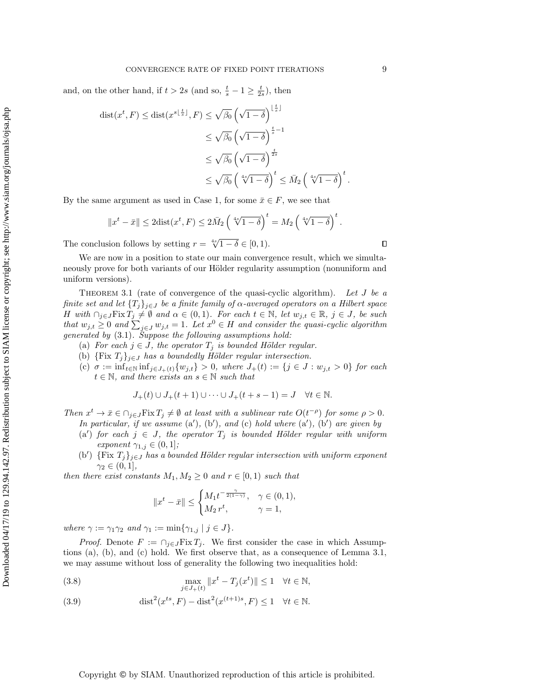and, on the other hand, if  $t > 2s$  (and so,  $\frac{t}{s} - 1 \ge \frac{t}{2s}$ ), then

$$
\begin{split} \text{dist}(x^t, F) &\leq \text{dist}(x^{s \lfloor \frac{t}{s} \rfloor}, F) \leq \sqrt{\beta_0} \left( \sqrt{1 - \delta} \right)^{\lfloor \frac{t}{s} \rfloor} \\ &\leq \sqrt{\beta_0} \left( \sqrt{1 - \delta} \right)^{\frac{t}{s} - 1} \\ &\leq \sqrt{\beta_0} \left( \sqrt{1 - \delta} \right)^{\frac{t}{2s}} \\ &\leq \sqrt{\beta_0} \left( \sqrt[4s]{1 - \delta} \right)^t \leq \bar{M}_2 \left( \sqrt[4s]{1 - \delta} \right)^t. \end{split}
$$

By the same argument as used in Case 1, for some  $\bar{x} \in F$ , we see that

$$
||x^t - \bar{x}|| \le 2\text{dist}(x^t, F) \le 2\bar{M}_2 \left(\sqrt[4s]{1-\delta}\right)^t = M_2 \left(\sqrt[4s]{1-\delta}\right)^t.
$$

The conclusion follows by setting  $r = \sqrt[4s]{1-\delta} \in [0,1)$ .

We are now in a position to state our main convergence result, which we simultaneously prove for both variants of our Hölder regularity assumption (nonuniform and uniform versions).

<span id="page-8-0"></span>THEOREM 3.1 (rate of convergence of the quasi-cyclic algorithm). Let  $J$  be a finite set and let  $\{T_j\}_{j\in J}$  be a finite family of  $\alpha$ -averaged operators on a Hilbert space H with  $\bigcap_{j\in J}$ Fix  $T_j \neq \emptyset$  and  $\alpha \in (0,1)$ . For each  $t \in \mathbb{N}$ , let  $w_{j,t} \in \mathbb{R}$ ,  $j \in J$ , be such that  $w_{j,t} \geq 0$  and  $\sum_{j \in J} w_{j,t} = 1$ . Let  $x^0 \in H$  and consider the quasi-cyclic algorithm generated by  $(3.1)$ . Suppose the following assumptions hold:

- (a) For each  $j \in J$ , the operator  $T_j$  is bounded Hölder regular.
- (b)  $\{\text{Fix }T_i\}_{i\in J}$  has a boundedly Hölder regular intersection.
- (c)  $\sigma := \inf_{t \in \mathbb{N}} \inf_{j \in J_+(t)} \{w_{j,t}\} > 0$ , where  $J_+(t) := \{j \in J : w_{j,t} > 0\}$  for each  $t \in \mathbb{N}$ , and there exists an  $s \in \mathbb{N}$  such that

$$
J_+(t) \cup J_+(t+1) \cup \cdots \cup J_+(t+s-1) = J \quad \forall t \in \mathbb{N}.
$$

Then  $x^t \to \bar{x} \in \bigcap_{j \in J} \text{Fix } T_j \neq \emptyset$  at least with a sublinear rate  $O(t^{-\rho})$  for some  $\rho > 0$ .

- In particular, if we assume  $(a')$ ,  $(b')$ , and  $(c)$  hold where  $(a')$ ,  $(b')$  are given by (a') for each  $j \in J$ , the operator  $T_j$  is bounded Hölder regular with uniform
- exponent  $\gamma_{1,j} \in (0,1]$ ;
- (b')  $\{\text{Fix }T_j\}_{j\in J}$  has a bounded Hölder regular intersection with uniform exponent  $\gamma_2 \in (0,1],$

then there exist constants  $M_1, M_2 \geq 0$  and  $r \in [0, 1)$  such that

$$
||x^t - \bar{x}|| \le \begin{cases} M_1 t^{-\frac{\gamma}{2(1-\gamma)}}, & \gamma \in (0,1), \\ M_2 r^t, & \gamma = 1, \end{cases}
$$

where  $\gamma := \gamma_1 \gamma_2$  and  $\gamma_1 := \min{\gamma_{1,j} \mid j \in J}.$ 

*Proof.* Denote  $F := \bigcap_{j \in J} \text{Fix } T_j$ . We first consider the case in which Assumptions (a), (b), and (c) hold. We first observe that, as a consequence of Lemma [3.1,](#page-5-3) we may assume without loss of generality the following two inequalities hold:

<span id="page-8-1"></span>(3.8) 
$$
\max_{j \in J_+(t)} \|x^t - T_j(x^t)\| \le 1 \quad \forall t \in \mathbb{N},
$$

<span id="page-8-2"></span>(3.9) 
$$
\text{dist}^2(x^{ts}, F) - \text{dist}^2(x^{(t+1)s}, F) \le 1 \quad \forall t \in \mathbb{N}.
$$

 $\Box$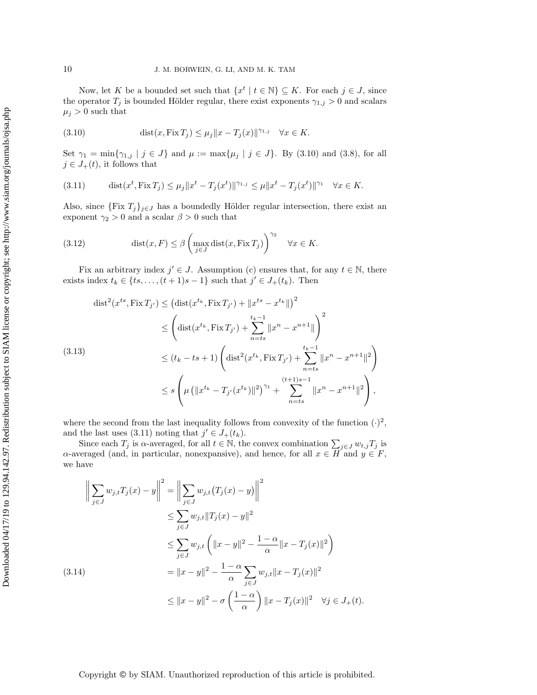Now, let K be a bounded set such that  $\{x^t \mid t \in \mathbb{N}\}\subseteq K$ . For each  $j \in J$ , since the operator  $T_j$  is bounded Hölder regular, there exist exponents  $\gamma_{1,j} > 0$  and scalars  $\mu_j > 0$  such that

<span id="page-9-0"></span>(3.10) 
$$
\text{dist}(x, \text{Fix } T_j) \leq \mu_j \|x - T_j(x)\|^{\gamma_{1,j}} \quad \forall x \in K.
$$

Set  $\gamma_1 = \min{\gamma_{1,j} | j \in J}$  and  $\mu := \max{\mu_j | j \in J}$ . By [\(3.10\)](#page-9-0) and [\(3.8\)](#page-8-1), for all  $j \in J_+(t)$ , it follows that

<span id="page-9-1"></span>(3.11) 
$$
\text{dist}(x^t, \text{Fix } T_j) \le \mu_j \|x^t - T_j(x^t)\|^{\gamma_{1,j}} \le \mu \|x^t - T_j(x^t)\|^{\gamma_1} \quad \forall x \in K.
$$

Also, since  $\{\text{Fix }T_j\}_{j\in J}$  has a boundedly Hölder regular intersection, there exist an exponent  $\gamma_2 > 0$  and a scalar  $\beta > 0$  such that

<span id="page-9-4"></span>(3.12) 
$$
\text{dist}(x, F) \leq \beta \left( \max_{j \in J} \text{dist}(x, \text{Fix } T_j) \right)^{\gamma_2} \quad \forall x \in K.
$$

Fix an arbitrary index  $j' \in J$ . Assumption (c) ensures that, for any  $t \in \mathbb{N}$ , there exists index  $t_k \in \{ts, \ldots, (t+1)s-1\}$  such that  $j' \in J_+(t_k)$ . Then

<span id="page-9-3"></span>
$$
\text{dist}^{2}(x^{ts}, \text{Fix } T_{j'}) \leq \left(\text{dist}(x^{t_k}, \text{Fix } T_{j'}) + \|x^{ts} - x^{t_k}\|\right)^{2}
$$
\n
$$
\leq \left(\text{dist}(x^{t_k}, \text{Fix } T_{j'}) + \sum_{n = ts}^{t_k - 1} \|x^n - x^{n+1}\|\right)^{2}
$$
\n(3.13)\n
$$
\leq (t_k - ts + 1) \left(\text{dist}^{2}(x^{t_k}, \text{Fix } T_{j'}) + \sum_{n = ts}^{t_k - 1} \|x^n - x^{n+1}\|^2\right)
$$
\n
$$
\leq s \left(\mu \left(\|x^{t_k} - T_{j'}(x^{t_k})\|^2\right)^{\gamma_1} + \sum_{n = ts}^{(t+1)s - 1} \|x^n - x^{n+1}\|^2\right),
$$

where the second from the last inequality follows from convexity of the function  $(\cdot)^2$ , and the last uses [\(3.11\)](#page-9-1) noting that  $j' \in J_+(t_k)$ .

Since each  $T_j$  is  $\alpha$ -averaged, for all  $t \in \mathbb{N}$ , the convex combination  $\sum_{j\in J} w_{t,j} T_j$  is  $\alpha$ -averaged (and, in particular, nonexpansive), and hence, for all  $x \in H$  and  $y \in F$ , we have

<span id="page-9-2"></span>
$$
\left\| \sum_{j \in J} w_{j,t} T_j(x) - y \right\|^2 = \left\| \sum_{j \in J} w_{j,t} (T_j(x) - y) \right\|^2
$$
  
\n
$$
\leq \sum_{j \in J} w_{j,t} \|T_j(x) - y\|^2
$$
  
\n
$$
\leq \sum_{j \in J} w_{j,t} \left( \|x - y\|^2 - \frac{1 - \alpha}{\alpha} \|x - T_j(x)\|^2 \right)
$$
  
\n(3.14)  
\n
$$
= \|x - y\|^2 - \frac{1 - \alpha}{\alpha} \sum_{j \in J} w_{j,t} \|x - T_j(x)\|^2
$$
  
\n
$$
\leq \|x - y\|^2 - \sigma \left( \frac{1 - \alpha}{\alpha} \right) \|x - T_j(x)\|^2 \quad \forall j \in J_+(t).
$$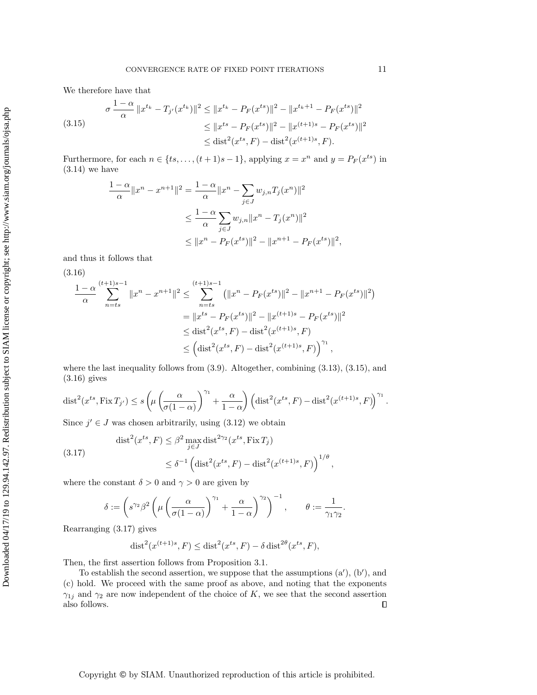We therefore have that

<span id="page-10-0"></span>
$$
\sigma \frac{1-\alpha}{\alpha} \|x^{t_k} - T_{j'}(x^{t_k})\|^2 \le \|x^{t_k} - P_F(x^{ts})\|^2 - \|x^{t_k+1} - P_F(x^{ts})\|^2
$$
  

$$
\le \|x^{ts} - P_F(x^{ts})\|^2 - \|x^{(t+1)s} - P_F(x^{ts})\|^2
$$
  

$$
\le \text{dist}^2(x^{ts}, F) - \text{dist}^2(x^{(t+1)s}, F).
$$

Furthermore, for each  $n \in \{ts, ..., (t+1)s-1\}$ , applying  $x = x^n$  and  $y = P_F(x^{ts})$  in  $(3.14)$  we have

$$
\frac{1-\alpha}{\alpha} \|x^n - x^{n+1}\|^2 = \frac{1-\alpha}{\alpha} \|x^n - \sum_{j \in J} w_{j,n} T_j(x^n)\|^2
$$
  

$$
\leq \frac{1-\alpha}{\alpha} \sum_{j \in J} w_{j,n} \|x^n - T_j(x^n)\|^2
$$
  

$$
\leq \|x^n - P_F(x^{ts})\|^2 - \|x^{n+1} - P_F(x^{ts})\|^2,
$$

and thus it follows that

(3.16)

<span id="page-10-1"></span>
$$
\frac{1-\alpha}{\alpha} \sum_{n=ts}^{(t+1)s-1} \|x^n - x^{n+1}\|^2 \le \sum_{n=ts}^{(t+1)s-1} \left( \|x^n - P_F(x^{ts})\|^2 - \|x^{n+1} - P_F(x^{ts})\|^2 \right)
$$
  
\n
$$
= \|x^{ts} - P_F(x^{ts})\|^2 - \|x^{(t+1)s} - P_F(x^{ts})\|^2
$$
  
\n
$$
\le \text{dist}^2(x^{ts}, F) - \text{dist}^2(x^{(t+1)s}, F)
$$
  
\n
$$
\le \left(\text{dist}^2(x^{ts}, F) - \text{dist}^2(x^{(t+1)s}, F)\right)^{\gamma_1},
$$

where the last inequality follows from  $(3.9)$ . Altogether, combining  $(3.13)$ ,  $(3.15)$ , and [\(3.16\)](#page-10-1) gives

$$
\operatorname{dist}^2(x^{ts}, \operatorname{Fix} T_{j'}) \le s \left( \mu \left( \frac{\alpha}{\sigma(1-\alpha)} \right)^{\gamma_1} + \frac{\alpha}{1-\alpha} \right) \left( \operatorname{dist}^2(x^{ts}, F) - \operatorname{dist}^2(x^{(t+1)s}, F) \right)^{\gamma_1}.
$$

Since  $j' \in J$  was chosen arbitrarily, using  $(3.12)$  we obtain

<span id="page-10-2"></span>(3.17) 
$$
\operatorname{dist}^2(x^{ts}, F) \leq \beta^2 \max_{j \in J} \operatorname{dist}^{2\gamma_2}(x^{ts}, \operatorname{Fix} T_j)
$$

$$
\leq \delta^{-1} \left( \operatorname{dist}^2(x^{ts}, F) - \operatorname{dist}^2(x^{(t+1)s}, F) \right)^{1/\theta},
$$

where the constant  $\delta > 0$  and  $\gamma > 0$  are given by

$$
\delta := \left(s^{\gamma_2}\beta^2\left(\mu\left(\frac{\alpha}{\sigma(1-\alpha)}\right)^{\gamma_1} + \frac{\alpha}{1-\alpha}\right)^{\gamma_2}\right)^{-1}, \qquad \theta := \frac{1}{\gamma_1\gamma_2}.
$$

Rearranging [\(3.17\)](#page-10-2) gives

$$
dist2(x(t+1)s, F) \leq dist2(xts, F) - \delta dist2θ(xts, F),
$$

Then, the first assertion follows from Proposition [3.1.](#page-6-3)

To establish the second assertion, we suppose that the assumptions  $(a')$ ,  $(b')$ , and (c) hold. We proceed with the same proof as above, and noting that the exponents  $\gamma_{1j}$  and  $\gamma_2$  are now independent of the choice of K, we see that the second assertion also follows.  $\Box$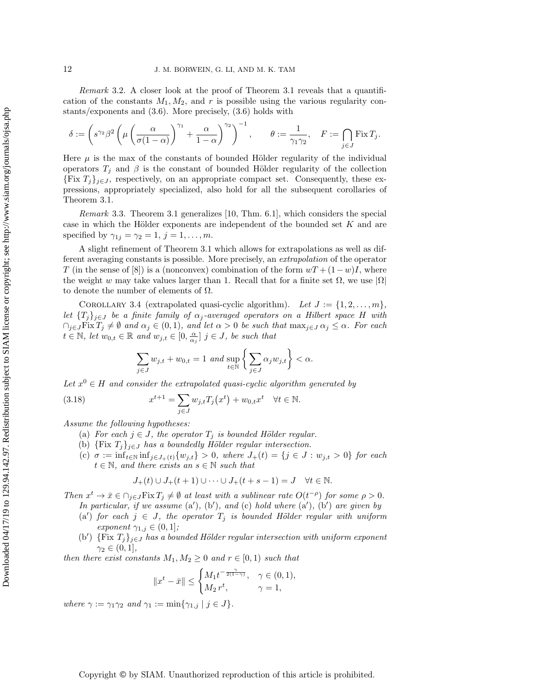Remark 3.2. A closer look at the proof of Theorem [3.1](#page-8-0) reveals that a quantification of the constants  $M_1, M_2$ , and r is possible using the various regularity constants/exponents and [\(3.6\)](#page-6-4). More precisely, [\(3.6\)](#page-6-4) holds with

$$
\delta := \left(s^{\gamma_2}\beta^2\left(\mu\left(\frac{\alpha}{\sigma(1-\alpha)}\right)^{\gamma_1} + \frac{\alpha}{1-\alpha}\right)^{\gamma_2}\right)^{-1}, \qquad \theta := \frac{1}{\gamma_1\gamma_2}, \quad F := \bigcap_{j \in J} \text{Fix } T_j.
$$

Here  $\mu$  is the max of the constants of bounded Hölder regularity of the individual operators  $T_i$  and  $\beta$  is the constant of bounded Hölder regularity of the collection  ${\rm [Fix\ }T_j\}_{j\in J}$ , respectively, on an appropriate compact set. Consequently, these expressions, appropriately specialized, also hold for all the subsequent corollaries of Theorem [3.1.](#page-8-0)

Remark 3.3. Theorem [3.1](#page-8-0) generalizes [\[10,](#page-31-11) Thm. 6.1], which considers the special case in which the Hölder exponents are independent of the bounded set  $K$  and are specified by  $\gamma_{1j} = \gamma_2 = 1, j = 1, \ldots, m$ .

A slight refinement of Theorem [3.1](#page-8-0) which allows for extrapolations as well as different averaging constants is possible. More precisely, an extrapolation of the operator T (in the sense of [\[8\]](#page-31-24)) is a (nonconvex) combination of the form  $wT + (1-w)I$ , where the weight w may take values larger than 1. Recall that for a finite set  $\Omega$ , we use  $|\Omega|$ to denote the number of elements of  $\Omega$ .

COROLLARY 3.4 (extrapolated quasi-cyclic algorithm). Let  $J := \{1, 2, \ldots, m\}$ , let  ${T_j}_{j\in J}$  be a finite family of  $\alpha_j$ -averaged operators on a Hilbert space H with  $\cap_{j\in J}$ Fix  $T_j \neq \emptyset$  and  $\alpha_j \in (0,1)$ , and let  $\alpha > 0$  be such that  $\max_{j\in J} \alpha_j \leq \alpha$ . For each  $t \in \mathbb{N}, \text{ let } w_{0,t} \in \mathbb{R} \text{ and } w_{j,t} \in [0, \frac{\alpha}{\alpha_j}] \text{ } j \in J, \text{ be such that }$ 

$$
\sum_{j \in J} w_{j,t} + w_{0,t} = 1 \text{ and } \sup_{t \in \mathbb{N}} \left\{ \sum_{j \in J} \alpha_j w_{j,t} \right\} < \alpha.
$$

Let  $x^0 \in H$  and consider the extrapolated quasi-cyclic algorithm generated by

(3.18) 
$$
x^{t+1} = \sum_{j \in J} w_{j,t} T_j(x^t) + w_{0,t} x^t \quad \forall t \in \mathbb{N}.
$$

Assume the following hypotheses:

- (a) For each  $j \in J$ , the operator  $T_j$  is bounded Hölder regular.
- (b)  $\{\text{Fix }T_j\}_{j\in J}$  has a boundedly Hölder regular intersection.
- (c)  $\sigma := \inf_{t \in \mathbb{N}} \inf_{j \in J_+(t)} \{w_{j,t}\} > 0$ , where  $J_+(t) = \{j \in J : w_{j,t} > 0\}$  for each  $t \in \mathbb{N}$  , and there exists an  $s \in \mathbb{N}$  such that

$$
J_+(t) \cup J_+(t+1) \cup \cdots \cup J_+(t+s-1) = J \quad \forall t \in \mathbb{N}.
$$

Then  $x^t \to \bar{x} \in \bigcap_{j \in J} \text{Fix } T_j \neq \emptyset$  at least with a sublinear rate  $O(t^{-\rho})$  for some  $\rho > 0$ .

- In particular, if we assume  $(a')$ ,  $(b')$ , and  $(c)$  hold where  $(a')$ ,  $(b')$  are given by
- (a') for each  $j \in J$ , the operator  $T_j$  is bounded Hölder regular with uniform exponent  $\gamma_{1,j} \in (0,1]$ ;
- (b')  $\{\text{Fix }T_j\}_{j\in J}$  has a bounded Hölder regular intersection with uniform exponent  $\gamma_2 \in (0,1],$

then there exist constants  $M_1, M_2 \geq 0$  and  $r \in [0, 1)$  such that

$$
||x^t - \bar{x}|| \le \begin{cases} M_1 t^{-\frac{\gamma}{2(1-\gamma)}}, & \gamma \in (0,1), \\ M_2 r^t, & \gamma = 1, \end{cases}
$$

where  $\gamma := \gamma_1 \gamma_2$  and  $\gamma_1 := \min{\gamma_{1,j} | j \in J}.$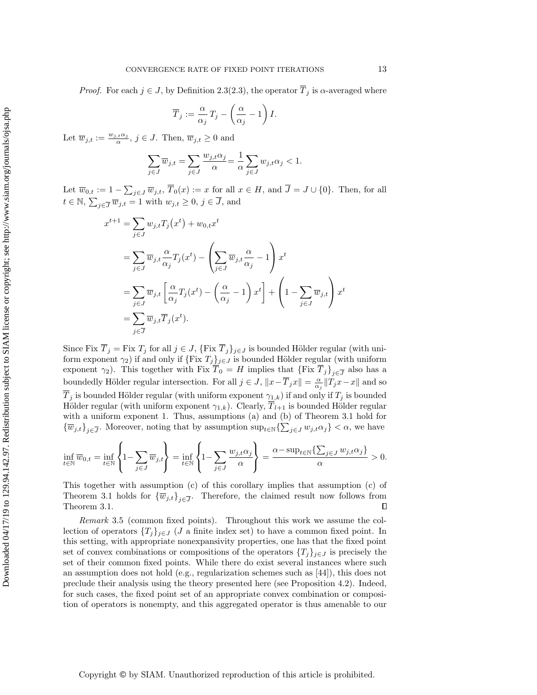*Proof.* For each  $j \in J$ , by Definition [2.3\(2.3\)](#page-3-2), the operator  $\overline{T}_j$  is  $\alpha$ -averaged where

$$
\overline{T}_j := \frac{\alpha}{\alpha_j} T_j - \left(\frac{\alpha}{\alpha_j} - 1\right) I.
$$

Let  $\overline{w}_{j,t} := \frac{w_{j,t} \alpha_j}{\alpha}, \ j \in J$ . Then,  $\overline{w}_{j,t} \geq 0$  and

$$
\sum_{j\in J}\overline{w}_{j,t}=\sum_{j\in J}\frac{w_{j,t}\alpha_j}{\alpha}=\frac{1}{\alpha}\sum_{j\in J}w_{j,t}\alpha_j<1.
$$

Let  $\overline{w}_{0,t} := 1 - \sum_{j \in J} \overline{w}_{j,t}, \overline{T}_0(x) := x$  for all  $x \in H$ , and  $\overline{J} = J \cup \{0\}$ . Then, for all  $t \in \mathbb{N}, \sum_{j \in \overline{J}} \overline{w}_{j,t} = 1$  with  $w_{j,t} \geq 0, j \in \overline{J}$ , and

$$
x^{t+1} = \sum_{j \in J} w_{j,t} T_j(x^t) + w_{0,t} x^t
$$
  
= 
$$
\sum_{j \in J} \overline{w}_{j,t} \frac{\alpha}{\alpha_j} T_j(x^t) - \left(\sum_{j \in J} \overline{w}_{j,t} \frac{\alpha}{\alpha_j} - 1\right) x^t
$$
  
= 
$$
\sum_{j \in J} \overline{w}_{j,t} \left[\frac{\alpha}{\alpha_j} T_j(x^t) - \left(\frac{\alpha}{\alpha_j} - 1\right) x^t\right] + \left(1 - \sum_{j \in J} \overline{w}_{j,t}\right) x^t
$$
  
= 
$$
\sum_{j \in J} \overline{w}_{j,t} \overline{T}_j(x^t).
$$

Since Fix  $\overline{T}_j$  = Fix  $T_j$  for all  $j \in J$ ,  $\{\text{Fix } \overline{T}_j\}_{j\in J}$  is bounded Hölder regular (with uniform exponent  $\gamma_2$ ) if and only if  $\{\text{Fix } T_j\}_{j\in J}$  is bounded Hölder regular (with uniform exponent  $\gamma_2$ ). This together with Fix  $\overline{T}_0 = H$  implies that  $\{\text{Fix } \overline{T}_j\}_{j\in\overline{J}}$  also has a boundedly Hölder regular intersection. For all  $j \in J$ ,  $||x - \overline{T_j}x|| = \frac{\alpha}{\alpha_j} ||T_jx - x||$  and so  $\overline{T}_j$  is bounded Hölder regular (with uniform exponent  $\gamma_{1,k}$ ) if and only if  $T_j$  is bounded Hölder regular (with uniform exponent  $\gamma_{1,k}$ ). Clearly,  $\overline{T}_{l+1}$  is bounded Hölder regular with a uniform exponent 1. Thus, assumptions (a) and (b) of Theorem [3.1](#page-8-0) hold for  ${\{\overline{w}_{j,t}\}}_{j\in\overline{J}}$ . Moreover, noting that by assumption  $\sup_{t\in\mathbb{N}}\{\sum_{j\in J}w_{j,t}\alpha_j\}<\alpha$ , we have

$$
\inf_{t \in \mathbb{N}} \overline{w}_{0,t} = \inf_{t \in \mathbb{N}} \left\{ 1 - \sum_{j \in J} \overline{w}_{j,t} \right\} = \inf_{t \in \mathbb{N}} \left\{ 1 - \sum_{j \in J} \frac{w_{j,t} \alpha_j}{\alpha} \right\} = \frac{\alpha - \sup_{t \in \mathbb{N}} \left\{ \sum_{j \in J} w_{j,t} \alpha_j \right\}}{\alpha} > 0.
$$

This together with assumption (c) of this corollary implies that assumption (c) of Theorem [3.1](#page-8-0) holds for  ${\lbrace \overline{w}_{j,t} \rbrace}_{j \in \overline{J}}$ . Therefore, the claimed result now follows from Theorem [3.1.](#page-8-0)  $\Box$ 

Remark 3.5 (common fixed points). Throughout this work we assume the collection of operators  ${T_j}_{j\in J}$  (*J* a finite index set) to have a common fixed point. In this setting, with appropriate nonexpansivity properties, one has that the fixed point set of convex combinations or compositions of the operators  ${T_j}_{j\in J}$  is precisely the set of their common fixed points. While there do exist several instances where such an assumption does not hold (e.g., regularization schemes such as [\[44\]](#page-32-13)), this does not preclude their analysis using the theory presented here (see Proposition [4.2\)](#page-18-0). Indeed, for such cases, the fixed point set of an appropriate convex combination or composition of operators is nonempty, and this aggregated operator is thus amenable to our

Copyright © by SIAM. Unauthorized reproduction of this article is prohibited.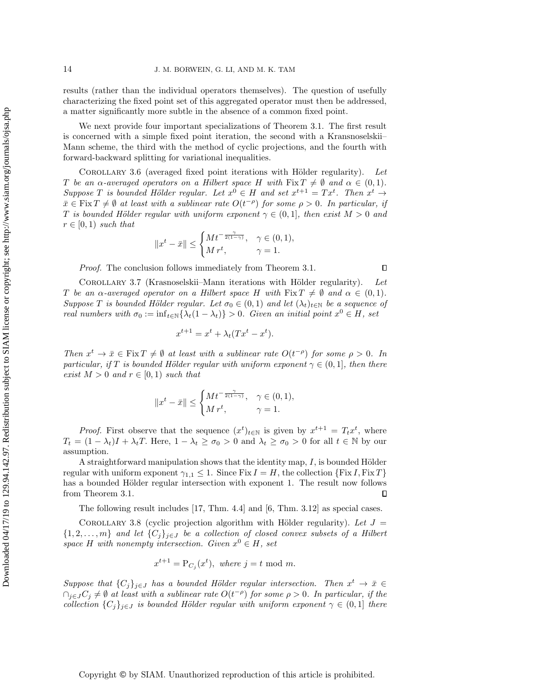results (rather than the individual operators themselves). The question of usefully characterizing the fixed point set of this aggregated operator must then be addressed, a matter significantly more subtle in the absence of a common fixed point.

We next provide four important specializations of Theorem [3.1.](#page-8-0) The first result is concerned with a simple fixed point iteration, the second with a Kransnoselskii– Mann scheme, the third with the method of cyclic projections, and the fourth with forward-backward splitting for variational inequalities.

COROLLARY 3.6 (averaged fixed point iterations with Hölder regularity). Let T be an  $\alpha$ -averaged operators on a Hilbert space H with Fix  $T \neq \emptyset$  and  $\alpha \in (0,1)$ . Suppose T is bounded Hölder regular. Let  $x^0 \in H$  and set  $x^{t+1} = Tx^t$ . Then  $x^t \to$  $\bar{x} \in \text{Fix } T \neq \emptyset$  at least with a sublinear rate  $O(t^{-\rho})$  for some  $\rho > 0$ . In particular, if T is bounded Hölder regular with uniform exponent  $\gamma \in (0,1]$ , then exist  $M > 0$  and  $r \in [0, 1)$  such that

$$
||x^t - \bar{x}|| \le \begin{cases} Mt^{-\frac{\gamma}{2(1-\gamma)}}, & \gamma \in (0,1), \\ M r^t, & \gamma = 1. \end{cases}
$$

Proof. The conclusion follows immediately from Theorem [3.1.](#page-8-0)

<span id="page-13-0"></span>COROLLARY 3.7 (Krasnoselskii–Mann iterations with Hölder regularity). Let T be an  $\alpha$ -averaged operator on a Hilbert space H with Fix  $T \neq \emptyset$  and  $\alpha \in (0,1)$ . Suppose T is bounded Hölder regular. Let  $\sigma_0 \in (0,1)$  and let  $(\lambda_t)_{t \in \mathbb{N}}$  be a sequence of real numbers with  $\sigma_0 := \inf_{t \in \mathbb{N}} {\lambda_t (1 - \lambda_t)} > 0$ . Given an initial point  $x^0 \in H$ , set

$$
x^{t+1} = x^t + \lambda_t (Tx^t - x^t).
$$

Then  $x^t \to \bar{x} \in \text{Fix } T \neq \emptyset$  at least with a sublinear rate  $O(t^{-\rho})$  for some  $\rho > 0$ . In particular, if T is bounded Hölder regular with uniform exponent  $\gamma \in (0,1]$ , then there exist  $M > 0$  and  $r \in [0, 1)$  such that

$$
||x^t - \bar{x}|| \le \begin{cases} Mt^{-\frac{\gamma}{2(1-\gamma)}}, & \gamma \in (0,1), \\ M r^t, & \gamma = 1. \end{cases}
$$

*Proof.* First observe that the sequence  $(x^t)_{t \in \mathbb{N}}$  is given by  $x^{t+1} = T_t x^t$ , where  $T_t = (1 - \lambda_t)I + \lambda_t T$ . Here,  $1 - \lambda_t \ge \sigma_0 > 0$  and  $\lambda_t \ge \sigma_0 > 0$  for all  $t \in \mathbb{N}$  by our assumption.

A straightforward manipulation shows that the identity map,  $I$ , is bounded Hölder regular with uniform exponent  $\gamma_{1,1} \leq 1$ . Since Fix  $I = H$ , the collection  $\{\text{Fix } I, \text{Fix } T\}$ has a bounded Hölder regular intersection with exponent 1. The result now follows from Theorem [3.1.](#page-8-0)  $\Box$ 

The following result includes [\[17,](#page-31-8) Thm. 4.4] and [\[6,](#page-31-0) Thm. 3.12] as special cases.

COROLLARY 3.8 (cyclic projection algorithm with Hölder regularity). Let  $J =$  ${1, 2, \ldots, m}$  and let  ${C_j}_{j \in J}$  be a collection of closed convex subsets of a Hilbert space H with nonempty intersection. Given  $x^0 \in H$ , set

$$
x^{t+1} = P_{C_j}(x^t), \text{ where } j = t \text{ mod } m.
$$

Suppose that  $\{C_j\}_{j\in J}$  has a bounded Hölder regular intersection. Then  $x^t \to \bar{x} \in$  $\cap_{j\in J}C_j\neq\emptyset$  at least with a sublinear rate  $O(t^{-\rho})$  for some  $\rho>0$ . In particular, if the collection  $\{C_j\}_{j\in J}$  is bounded Hölder regular with uniform exponent  $\gamma \in (0,1]$  there

 $\Box$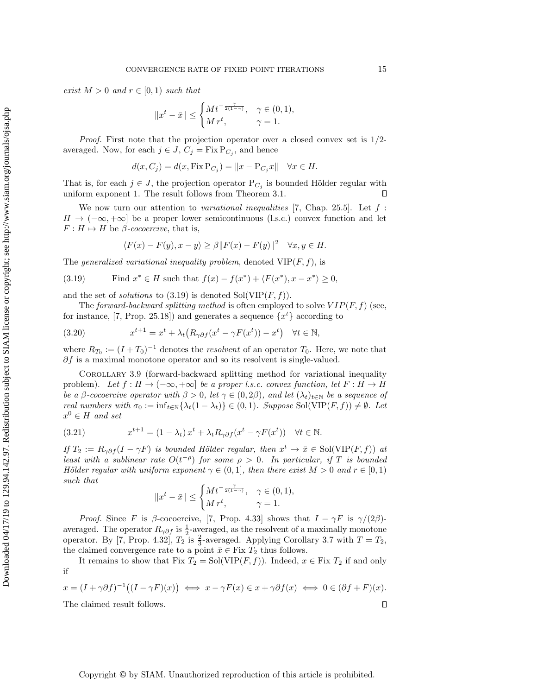exist  $M > 0$  and  $r \in [0, 1)$  such that

$$
||x^t - \bar{x}|| \le \begin{cases} Mt^{-\frac{\gamma}{2(1-\gamma)}}, & \gamma \in (0,1), \\ M r^t, & \gamma = 1. \end{cases}
$$

*Proof.* First note that the projection operator over a closed convex set is  $1/2$ averaged. Now, for each  $j \in J$ ,  $C_j = \text{Fix } P_{C_j}$ , and hence

$$
d(x, C_j) = d(x, \text{Fix } \mathcal{P}_{C_j}) = ||x - \mathcal{P}_{C_j} x|| \quad \forall x \in H.
$$

That is, for each  $j \in J$ , the projection operator  $P_{C_j}$  is bounded Hölder regular with uniform exponent 1. The result follows from Theorem [3.1.](#page-8-0)  $\Box$ 

We now turn our attention to *variational inequalities* [\[7,](#page-31-2) Chap. 25.5]. Let  $f$ :  $H \to (-\infty, +\infty]$  be a proper lower semicontinuous (l.s.c.) convex function and let  $F: H \mapsto H$  be *β-cocoercive*, that is,

<span id="page-14-0"></span>
$$
\langle F(x) - F(y), x - y \rangle \ge \beta ||F(x) - F(y)||^2 \quad \forall x, y \in H.
$$

The generalized variational inequality problem, denoted  $VIP(F, f)$ , is

(3.19) Find 
$$
x^* \in H
$$
 such that  $f(x) - f(x^*) + \langle F(x^*), x - x^* \rangle \ge 0$ ,

and the set of *solutions* to  $(3.19)$  is denoted Sol(VIP(F, f)).

The forward-backward splitting method is often employed to solve  $VIP(F, f)$  (see, for instance, [\[7,](#page-31-2) Prop. 25.18]) and generates a sequence  $\{x^{t}\}$  according to

(3.20) 
$$
x^{t+1} = x^t + \lambda_t (R_{\gamma\partial f}(x^t - \gamma F(x^t)) - x^t) \quad \forall t \in \mathbb{N},
$$

where  $R_{T_0} := (I + T_0)^{-1}$  denotes the *resolvent* of an operator  $T_0$ . Here, we note that  $∂f$  is a maximal monotone operator and so its resolvent is single-valued.

<span id="page-14-1"></span>Corollary 3.9 (forward-backward splitting method for variational inequality problem). Let  $f : H \to (-\infty, +\infty]$  be a proper l.s.c. convex function, let  $F : H \to H$ be a β-cocoercive operator with  $\beta > 0$ , let  $\gamma \in (0, 2\beta)$ , and let  $(\lambda_t)_{t \in \mathbb{N}}$  be a sequence of real numbers with  $\sigma_0 := \inf_{t \in \mathbb{N}} {\lambda_t (1 - \lambda_t)} \in (0, 1)$ . Suppose Sol(VIP(F, f))  $\neq \emptyset$ . Let  $x^0 \in H$  and set

(3.21) 
$$
x^{t+1} = (1 - \lambda_t) x^t + \lambda_t R_{\gamma \partial f} (x^t - \gamma F(x^t)) \quad \forall t \in \mathbb{N}.
$$

If  $T_2 := R_{\gamma\partial f}(I - \gamma F)$  is bounded Hölder regular, then  $x^t \to \bar{x} \in Sol(VIP(F, f))$  at least with a sublinear rate  $O(t^{-\rho})$  for some  $\rho > 0$ . In particular, if T is bounded Hölder regular with uniform exponent  $\gamma \in (0,1]$ , then there exist  $M > 0$  and  $r \in [0,1)$ such that γ

$$
||x^{t} - \bar{x}|| \leq \begin{cases} Mt^{-\frac{\gamma}{2(1-\gamma)}}, & \gamma \in (0,1), \\ M r^{t}, & \gamma = 1. \end{cases}
$$

*Proof.* Since F is β-cocoercive, [\[7,](#page-31-2) Prop. 4.33] shows that  $I - \gamma F$  is  $\gamma/(2\beta)$ averaged. The operator  $R_{\gamma\partial f}$  is  $\frac{1}{2}$ -averaged, as the resolvent of a maximally monotone operator. By [\[7,](#page-31-2) Prop. 4.32],  $T_2$  is  $\frac{2}{3}$ -averaged. Applying Corollary [3.7](#page-13-0) with  $T = T_2$ , the claimed convergence rate to a point  $\bar{x} \in \text{Fix } T_2$  thus follows.

It remains to show that Fix  $T_2 = Sol(VIP(F, f))$ . Indeed,  $x \in Fix T_2$  if and only if

$$
x = (I + \gamma \partial f)^{-1}((I - \gamma F)(x)) \iff x - \gamma F(x) \in x + \gamma \partial f(x) \iff 0 \in (\partial f + F)(x).
$$
  
The claimed result follows.

The claimed result follows.

Copyright © by SIAM. Unauthorized reproduction of this article is prohibited.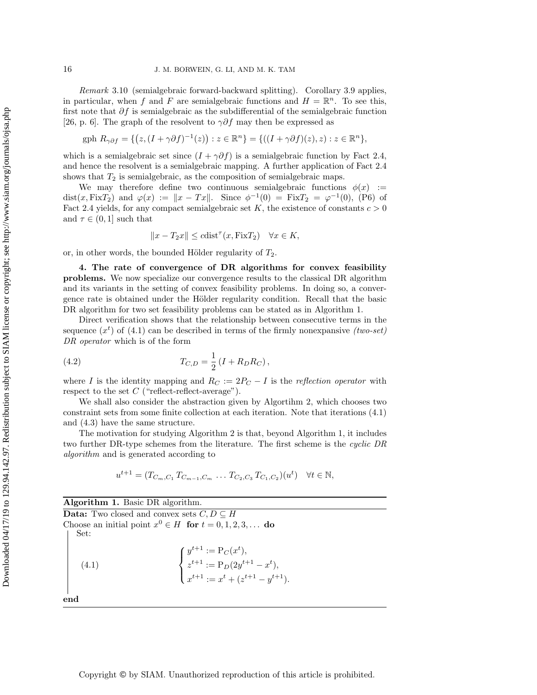Remark 3.10 (semialgebraic forward-backward splitting). Corollary [3.9](#page-14-1) applies, in particular, when f and F are semialgebraic functions and  $H = \mathbb{R}^n$ . To see this, first note that  $\partial f$  is semialgebraic as the subdifferential of the semialgebraic function [\[26,](#page-31-25) p. 6]. The graph of the resolvent to  $\gamma \partial f$  may then be expressed as

$$
\text{gph } R_{\gamma\partial f} = \{ (z, (I + \gamma\partial f)^{-1}(z)) : z \in \mathbb{R}^n \} = \{ ((I + \gamma\partial f)(z), z) : z \in \mathbb{R}^n \},
$$

which is a semialgebraic set since  $(I + \gamma \partial f)$  is a semialgebraic function by Fact [2.4,](#page-4-0) and hence the resolvent is a semialgebraic mapping. A further application of Fact [2.4](#page-4-0) shows that  $T_2$  is semialgebraic, as the composition of semialgebraic maps.

We may therefore define two continuous semialgebraic functions  $\phi(x) :=$ dist(x, FixT<sub>2</sub>) and  $\varphi(x) := ||x - Tx||$ . Since  $\phi^{-1}(0) = \text{Fix}T_2 = \varphi^{-1}(0)$ , (P6) of Fact [2.4](#page-4-0) yields, for any compact semialgebraic set K, the existence of constants  $c > 0$ and  $\tau \in (0,1]$  such that

$$
||x - T_2x|| \leq c \text{dist}^{\tau}(x, \text{Fix} T_2) \quad \forall x \in K,
$$

or, in other words, the bounded Hölder regularity of  $T_2$ .

<span id="page-15-0"></span>4. The rate of convergence of DR algorithms for convex feasibility problems. We now specialize our convergence results to the classical DR algorithm and its variants in the setting of convex feasibility problems. In doing so, a convergence rate is obtained under the Hölder regularity condition. Recall that the basic DR algorithm for two set feasibility problems can be stated as in Algorithm 1.

Direct verification shows that the relationship between consecutive terms in the sequence  $(x^{t})$  of [\(4.1\)](#page-15-1) can be described in terms of the firmly nonexpansive (two-set) DR *operator* which is of the form

<span id="page-15-2"></span>(4.2) 
$$
T_{C,D} = \frac{1}{2} (I + R_D R_C),
$$

where I is the identity mapping and  $R_C := 2P_C - I$  is the reflection operator with respect to the set  $C$  ("reflect-reflect-average").

We shall also consider the abstraction given by Algortihm [2,](#page-16-0) which chooses two constraint sets from some finite collection at each iteration. Note that iterations [\(4.1\)](#page-15-1) and [\(4.3\)](#page-16-1) have the same structure.

The motivation for studying Algorithm [2](#page-16-0) is that, beyond Algorithm 1, it includes two further DR-type schemes from the literature. The first scheme is the *cyclic DR* algorithm and is generated according to

$$
u^{t+1} = (T_{C_m, C_1} T_{C_{m-1}, C_m} \dots T_{C_2, C_3} T_{C_1, C_2})(u^t) \quad \forall t \in \mathbb{N},
$$

Algorithm 1. Basic DR algorithm.

Data: Two closed and convex sets  $C, D \subseteq H$ Choose an initial point  $x^0 \in H$  for  $t = 0, 1, 2, 3, \dots$  do Set:

<span id="page-15-1"></span>(4.1) 
$$
\begin{cases} y^{t+1} := \mathcal{P}_C(x^t), \\ z^{t+1} := \mathcal{P}_D(2y^{t+1} - x^t), \\ x^{t+1} := x^t + (z^{t+1} - y^{t+1}). \end{cases}
$$

end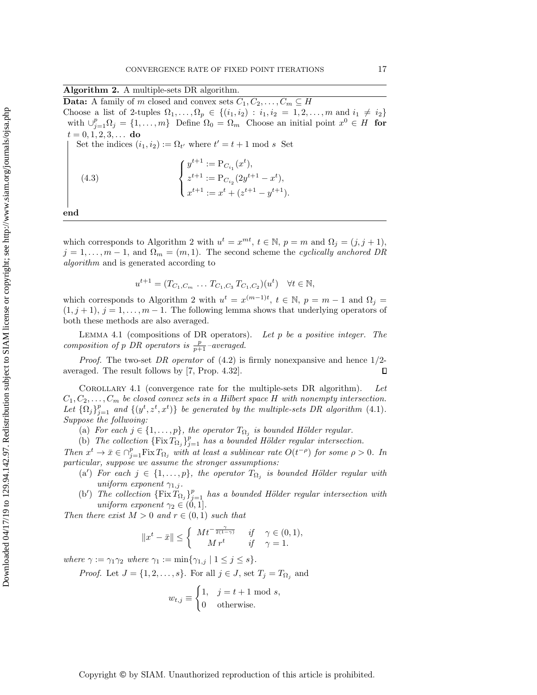<span id="page-16-0"></span>**Data:** A family of m closed and convex sets  $C_1, C_2, \ldots, C_m \subseteq H$ Choose a list of 2-tuples  $\Omega_1, ..., \Omega_p \in \{(i_1, i_2) : i_1, i_2 = 1, 2, ..., m \text{ and } i_1 \neq i_2\}$ with  $\cup_{j=1}^p \Omega_j = \{1, \ldots, m\}$  Define  $\Omega_0 = \Omega_m$  Choose an initial point  $x^0 \in H$  for  $t = 0, 1, 2, 3, \ldots$  do Set the indices  $(i_1, i_2) := \Omega_{t'}$  where  $t' = t + 1 \text{ mod } s$  Set (4.3)  $\sqrt{ }$  $\int$  $\overline{a}$  $y^{t+1} := \mathbf{P}_{C_{i_1}}(x^t),$  $z^{t+1} := \mathbf{P}_{C_{i_2}}(2y^{t+1} - x^t),$  $x^{t+1} := x^t + (z^{t+1} - y^{t+1}).$ 

end

which corresponds to Algorithm [2](#page-16-0) with  $u^t = x^{mt}$ ,  $t \in \mathbb{N}$ ,  $p = m$  and  $\Omega_j = (j, j + 1)$ ,  $j = 1, \ldots, m-1$ , and  $\Omega_m = (m, 1)$ . The second scheme the cyclically anchored DR algorithm and is generated according to

<span id="page-16-1"></span>
$$
u^{t+1} = (T_{C_1, C_m} \dots T_{C_1, C_3} T_{C_1, C_2})(u^t) \quad \forall t \in \mathbb{N},
$$

which corresponds to Algorithm [2](#page-16-0) with  $u^t = x^{(m-1)t}$ ,  $t \in \mathbb{N}$ ,  $p = m - 1$  and  $\Omega_j =$  $(1, j + 1), j = 1, \ldots, m - 1$ . The following lemma shows that underlying operators of both these methods are also averaged.

LEMMA 4.1 (compositions of DR operators). Let p be a positive integer. The composition of p DR operators is  $\frac{p}{p+1}$ -averaged.

*Proof.* The two-set DR operator of  $(4.2)$  is firmly nonexpansive and hence  $1/2$ averaged. The result follows by [\[7,](#page-31-2) Prop. 4.32].  $\Box$ 

<span id="page-16-2"></span>COROLLARY 4.1 (convergence rate for the multiple-sets DR algorithm). Let  $C_1, C_2, \ldots, C_m$  be closed convex sets in a Hilbert space H with nonempty intersection. Let  $\{\Omega_j\}_{j=1}^p$  and  $\{(y^t, z^t, x^t)\}\$  be generated by the multiple-sets DR algorithm [\(4.1\)](#page-15-1). Suppose the follwoing:

(a) For each  $j \in \{1, \ldots, p\}$ , the operator  $T_{\Omega_j}$  is bounded Hölder regular.

(b) The collection  $\{\text{Fix }T_{\Omega_j}\}_{j=1}^p$  has a bounded Hölder regular intersection.

Then  $x^t \to \bar{x} \in \bigcap_{j=1}^p \text{Fix } T_{\Omega_j}$  with at least a sublinear rate  $O(t^{-\rho})$  for some  $\rho > 0$ . In particular, suppose we assume the stronger assumptions:

- (a') For each  $j \in \{1, \ldots, p\}$ , the operator  $T_{\Omega_j}$  is bounded Hölder regular with uniform exponent  $\gamma_{1,j}$ .
- (b') The collection  $\{\text{Fix}\, \widetilde{T}_{\Omega_j}\}_{j=1}^p$  has a bounded Hölder regular intersection with uniform exponent  $\gamma_2 \in (0,1]$ .

Then there exist  $M > 0$  and  $r \in (0,1)$  such that

$$
\|x^t-\bar x\|\leq \left\{\begin{array}{cc} Mt^{-\frac{\gamma}{2(1-\gamma)}}&\text{ if }\quad \gamma\in(0,1),\\ M\,r^t&\text{ if }\quad \gamma=1.\end{array}\right.
$$

where  $\gamma := \gamma_1 \gamma_2$  where  $\gamma_1 := \min\{\gamma_{1,j} \mid 1 \leq j \leq s\}.$ 

*Proof.* Let  $J = \{1, 2, \ldots, s\}$ . For all  $j \in J$ , set  $T_j = T_{\Omega_j}$  and

$$
w_{t,j} \equiv \begin{cases} 1, & j = t+1 \text{ mod } s, \\ 0 & \text{otherwise.} \end{cases}
$$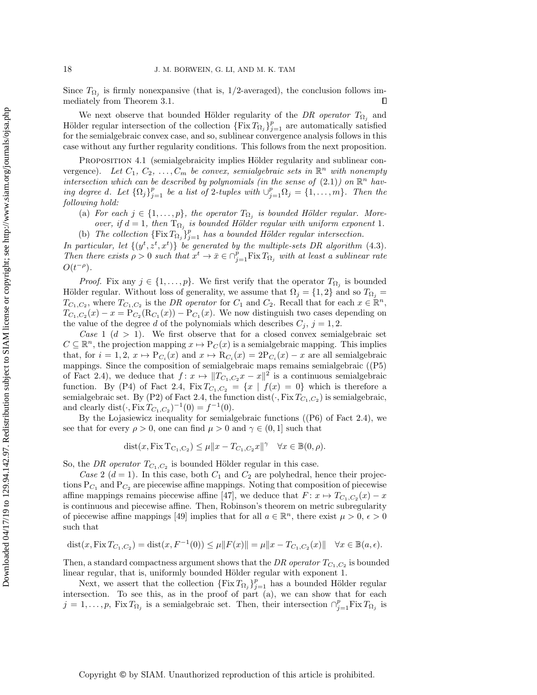Since  $T_{\Omega_j}$  is firmly nonexpansive (that is, 1/2-averaged), the conclusion follows immediately from Theorem [3.1.](#page-8-0)  $\Box$ 

We next observe that bounded Hölder regularity of the DR operator  $T_{\Omega_i}$  and Hölder regular intersection of the collection  $\{\text{Fix }T_{\Omega_j}\}_{j=1}^p$  are automatically satisfied for the semialgebraic convex case, and so, sublinear convergence analysis follows in this case without any further regularity conditions. This follows from the next proposition.

<span id="page-17-0"></span>PROPOSITION 4.1 (semialgebraicity implies Hölder regularity and sublinear convergence). Let  $C_1, C_2, \ldots, C_m$  be convex, semialgebraic sets in  $\mathbb{R}^n$  with nonempty intersection which can be described by polynomials (in the sense of  $(2.1)$ ) on  $\mathbb{R}^n$  having degree d. Let  $\{\Omega_j\}_{j=1}^p$  be a list of 2-tuples with  $\cup_{j=1}^p \Omega_j = \{1, \ldots, m\}$ . Then the following hold:

- (a) For each  $j \in \{1, \ldots, p\}$ , the operator  $T_{\Omega_j}$  is bounded Hölder regular. Moreover, if  $d = 1$ , then  $T_{\Omega_j}$  is bounded Hölder regular with uniform exponent 1.
- (b) The collection  $\{\text{Fix }T_{\Omega_j}\}_{j=1}^p$  has a bounded Hölder regular intersection.

In particular, let  $\{(y^t, z^t, x^t)\}\$ be generated by the multiple-sets DR algorithm [\(4.3\)](#page-16-1). Then there exists  $\rho > 0$  such that  $x^t \to \bar{x} \in \bigcap_{j=1}^p \text{Fix } T_{\Omega_j}$  with at least a sublinear rate  $O(t^{-\rho}).$ 

*Proof.* Fix any  $j \in \{1, ..., p\}$ . We first verify that the operator  $T_{\Omega_j}$  is bounded Hölder regular. Without loss of generality, we assume that  $\Omega_j = \{1, 2\}$  and so  $T_{\Omega_i}$  =  $T_{C_1,C_2}$ , where  $T_{C_1,C_2}$  is the DR operator for  $C_1$  and  $C_2$ . Recall that for each  $x \in \mathbb{R}^n$ ,  $T_{C_1,C_2}(x) - x = P_{C_2}(R_{C_1}(x)) - P_{C_1}(x)$ . We now distinguish two cases depending on the value of the degree d of the polynomials which describes  $C_i$ ,  $j = 1, 2$ .

Case 1  $(d > 1)$ . We first observe that for a closed convex semialgebraic set  $C \subseteq \mathbb{R}^n$ , the projection mapping  $x \mapsto P_C(x)$  is a semialgebraic mapping. This implies that, for  $i = 1, 2, x \mapsto P_{C_i}(x)$  and  $x \mapsto R_{C_i}(x) = 2P_{C_i}(x) - x$  are all semialgebraic mappings. Since the composition of semialgebraic maps remains semialgebraic ((P5) of Fact [2.4\)](#page-4-0), we deduce that  $f: x \mapsto ||T_{C_1,C_2}x - x||^2$  is a continuous semialgebraic function. By (P4) of Fact [2.4,](#page-4-0)  $Fix T_{C_1,C_2} = \{x \mid f(x) = 0\}$  which is therefore a semialgebraic set. By (P2) of Fact [2.4,](#page-4-0) the function  $dist(\cdot, Fix T_{C_1,C_2})$  is semialgebraic, and clearly dist( $\cdot$ , Fix  $T_{C_1, C_2}$ )<sup>-1</sup>(0) =  $f^{-1}(0)$ .

By the Lojasiewicz inequality for semialgebraic functions ((P6) of Fact [2.4\)](#page-4-0), we see that for every  $\rho > 0$ , one can find  $\mu > 0$  and  $\gamma \in (0, 1]$  such that

$$
dist(x, \text{Fix } \mathcal{T}_{\mathcal{C}_1, \mathcal{C}_2}) \le \mu \|x - T_{\mathcal{C}_1, \mathcal{C}_2} x\|^\gamma \quad \forall x \in \mathbb{B}(0, \rho).
$$

So, the DR operator  $T_{C_1,C_2}$  is bounded Hölder regular in this case.

Case 2 ( $d = 1$ ). In this case, both  $C_1$  and  $C_2$  are polyhedral, hence their projections  $P_{C_1}$  and  $P_{C_2}$  are piecewise affine mappings. Noting that composition of piecewise affine mappings remains piecewise affine [\[47\]](#page-32-14), we deduce that  $F: x \mapsto T_{C_1,C_2}(x) - x$ is continuous and piecewise affine. Then, Robinson's theorem on metric subregularity of piecewise affine mappings [\[49\]](#page-32-15) implies that for all  $a \in \mathbb{R}^n$ , there exist  $\mu > 0$ ,  $\epsilon > 0$ such that

$$
dist(x, \text{Fix }T_{C_1, C_2}) = dist(x, F^{-1}(0)) \le \mu ||F(x)|| = \mu ||x - T_{C_1, C_2}(x)|| \quad \forall x \in \mathbb{B}(a, \epsilon).
$$

Then, a standard compactness argument shows that the DR operator  $T_{C_1,C_2}$  is bounded linear regular, that is, uniformly bounded Hölder regular with exponent 1.

Next, we assert that the collection  $\{\text{Fix }T_{\Omega_j}\}_{j=1}^p$  has a bounded Hölder regular intersection. To see this, as in the proof of part (a), we can show that for each  $j = 1, \ldots, p$ , Fix  $T_{\Omega_j}$  is a semialgebraic set. Then, their intersection  $\bigcap_{j=1}^p \text{Fix } T_{\Omega_j}$  is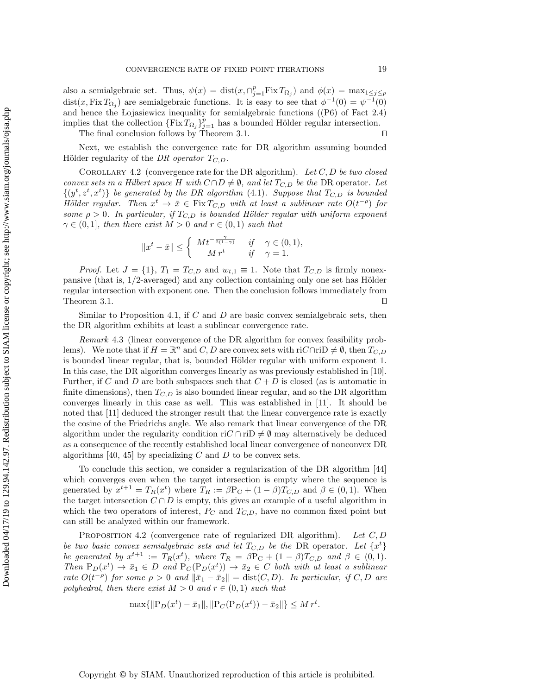also a semialgebraic set. Thus,  $\psi(x) = \text{dist}(x, \bigcap_{j=1}^p \text{Fix } T_{\Omega_j})$  and  $\phi(x) = \max_{1 \leq j \leq p}$ dist(x, Fix  $T_{\Omega_j}$ ) are semialgebraic functions. It is easy to see that  $\phi^{-1}(0) = \psi^{-1}(0)$ and hence the Lojasiewicz inequality for semialgebraic functions  $((P6)$  of Fact [2.4\)](#page-4-0) implies that the collection  $\{Fix T_{\Omega_j}\}_{j=1}^p$  has a bounded Hölder regular intersection.

The final conclusion follows by Theorem [3.1.](#page-8-0)

Next, we establish the convergence rate for DR algorithm assuming bounded Hölder regularity of the DR operator  $T_{C,D}$ .

COROLLARY 4.2 (convergence rate for the DR algorithm). Let  $C, D$  be two closed convex sets in a Hilbert space H with  $C \cap D \neq \emptyset$ , and let  $T_{C,D}$  be the DR operator. Let  $\{(y^t, z^t, x^t)\}\;$  be generated by the DR algorithm [\(4.1\)](#page-15-1). Suppose that  $T_{C,D}$  is bounded Hölder regular. Then  $x^t \to \bar{x} \in \text{Fix } T_{C,D}$  with at least a sublinear rate  $O(t^{-\rho})$  for some  $\rho > 0$ . In particular, if  $T_{C,D}$  is bounded Hölder regular with uniform exponent  $\gamma \in (0,1]$ , then there exist  $M > 0$  and  $r \in (0,1)$  such that

<span id="page-18-1"></span>
$$
||x^t - \bar{x}|| \le \begin{cases} Mt^{-\frac{\gamma}{2(1-\gamma)}} & \text{if } \gamma \in (0,1), \\ Mr^t & \text{if } \gamma = 1. \end{cases}
$$

*Proof.* Let  $J = \{1\}$ ,  $T_1 = T_{C,D}$  and  $w_{t,1} \equiv 1$ . Note that  $T_{C,D}$  is firmly nonexpansive (that is,  $1/2$ -averaged) and any collection containing only one set has Hölder regular intersection with exponent one. Then the conclusion follows immediately from Theorem [3.1.](#page-8-0)  $\Box$ 

Similar to Proposition [4.1,](#page-17-0) if  $C$  and  $D$  are basic convex semialgebraic sets, then the DR algorithm exhibits at least a sublinear convergence rate.

Remark 4.3 (linear convergence of the DR algorithm for convex feasibility problems). We note that if  $H = \mathbb{R}^n$  and  $C, D$  are convex sets with riC∩riD  $\neq \emptyset$ , then  $T_{C,D}$ is bounded linear regular, that is, bounded Hölder regular with uniform exponent 1. In this case, the DR algorithm converges linearly as was previously established in [\[10\]](#page-31-11). Further, if C and D are both subspaces such that  $C+D$  is closed (as is automatic in finite dimensions), then  $T_{C,D}$  is also bounded linear regular, and so the DR algorithm converges linearly in this case as well. This was established in [\[11\]](#page-31-13). It should be noted that [\[11\]](#page-31-13) deduced the stronger result that the linear convergence rate is exactly the cosine of the Friedrichs angle. We also remark that linear convergence of the DR algorithm under the regularity condition riC ∩ riD  $\neq \emptyset$  may alternatively be deduced as a consequence of the recently established local linear convergence of nonconvex DR algorithms [\[40,](#page-32-7) [45\]](#page-32-9) by specializing C and D to be convex sets.

To conclude this section, we consider a regularization of the DR algorithm [\[44\]](#page-32-13) which converges even when the target intersection is empty where the sequence is generated by  $x^{t+1} = T_R(x^t)$  where  $T_R := \beta P_C + (1 - \beta)T_{C,D}$  and  $\beta \in (0,1)$ . When the target intersection  $C \cap D$  is empty, this gives an example of a useful algorithm in which the two operators of interest,  $P_C$  and  $T_{C,D}$ , have no common fixed point but can still be analyzed within our framework.

PROPOSITION 4.2 (convergence rate of regularized DR algorithm). Let  $C, D$ be two basic convex semialgebraic sets and let  $T_{C,D}$  be the DR operator. Let  $\{x^{t}\}$ be generated by  $x^{t+1} := T_R(x^t)$ , where  $T_R = \beta P_C + (1 - \beta)T_{C,D}$  and  $\beta \in (0,1)$ . Then  $P_D(x^t) \to \bar{x}_1 \in D$  and  $P_C(P_D(x^t)) \to \bar{x}_2 \in C$  both with at least a sublinear rate  $O(t^{-\rho})$  for some  $\rho > 0$  and  $\|\bar{x}_1 - \bar{x}_2\| = \text{dist}(C, D)$ . In particular, if  $C, D$  are polyhedral, then there exist  $M > 0$  and  $r \in (0,1)$  such that

<span id="page-18-0"></span>
$$
\max\{\|P_D(x^t) - \bar{x}_1\|, \|P_C(P_D(x^t)) - \bar{x}_2\|\} \le M r^t.
$$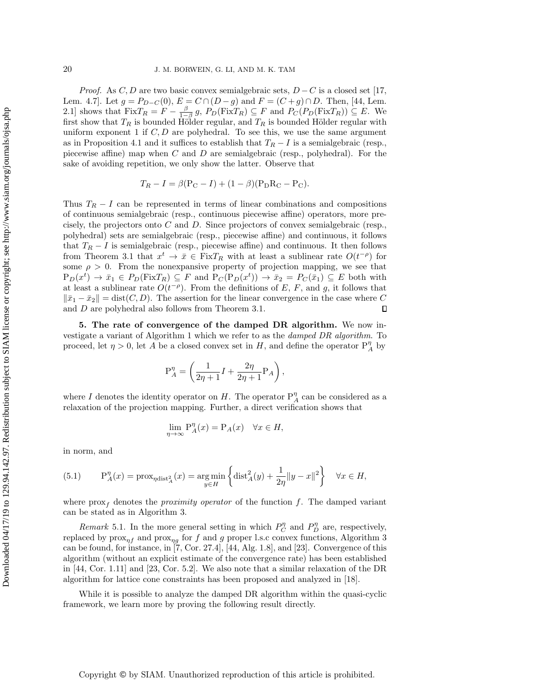*Proof.* As C, D are two basic convex semialgebraic sets,  $D - C$  is a closed set [\[17,](#page-31-8) Lem. 4.7]. Let  $g = P_{D-C}(0)$ ,  $E = C \cap (D - g)$  and  $F = (C + g) \cap D$ . Then, [\[44,](#page-32-13) Lem. 2.1] shows that  $\text{Fix} T_R = F - \frac{\beta}{1-\beta} g$ ,  $P_D(\text{Fix} T_R) \subseteq F$  and  $P_C(P_D(\text{Fix} T_R)) \subseteq E$ . We first show that  $T_R$  is bounded Hölder regular, and  $T_R$  is bounded Hölder regular with uniform exponent 1 if  $C, D$  are polyhedral. To see this, we use the same argument as in Proposition [4.1](#page-17-0) and it suffices to establish that  $T_R - I$  is a semialgebraic (resp., piecewise affine) map when  $C$  and  $D$  are semialgebraic (resp., polyhedral). For the sake of avoiding repetition, we only show the latter. Observe that

$$
T_R - I = \beta (P_C - I) + (1 - \beta) (P_D R_C - P_C).
$$

Thus  $T_R - I$  can be represented in terms of linear combinations and compositions of continuous semialgebraic (resp., continuous piecewise affine) operators, more precisely, the projectors onto C and D. Since projectors of convex semialgebraic (resp., polyhedral) sets are semialgebraic (resp., piecewise affine) and continuous, it follows that  $T_R - I$  is semialgebraic (resp., piecewise affine) and continuous. It then follows from Theorem [3.1](#page-8-0) that  $x^t \to \bar{x} \in \text{Fix} T_R$  with at least a sublinear rate  $O(t^{-\rho})$  for some  $\rho > 0$ . From the nonexpansive property of projection mapping, we see that  $P_D(x^t) \to \bar{x}_1 \in P_D(\text{Fix}T_R) \subseteq F$  and  $P_C(P_D(x^t)) \to \bar{x}_2 = P_C(\bar{x}_1) \subseteq E$  both with at least a sublinear rate  $O(t^{-\rho})$ . From the definitions of E, F, and g, it follows that  $\|\bar{x}_1 - \bar{x}_2\| = \text{dist}(C, D)$ . The assertion for the linear convergence in the case where C and D are polyhedral also follows from Theorem [3.1.](#page-8-0)  $\Box$ 

<span id="page-19-0"></span>5. The rate of convergence of the damped DR algorithm. We now investigate a variant of Algorithm 1 which we refer to as the damped DR algorithm. To proceed, let  $\eta > 0$ , let A be a closed convex set in H, and define the operator  $P_A^{\eta}$  by

$$
\mathbf{P}_{A}^{\eta}=\left(\frac{1}{2\eta+1}I+\frac{2\eta}{2\eta+1}\mathbf{P}_{A}\right),
$$

where I denotes the identity operator on H. The operator  $P_A^{\eta}$  can be considered as a relaxation of the projection mapping. Further, a direct verification shows that

$$
\lim_{\eta \to \infty} \mathcal{P}_A^{\eta}(x) = \mathcal{P}_A(x) \quad \forall x \in H,
$$

in norm, and

<span id="page-19-1"></span>(5.1) 
$$
P_A^{\eta}(x) = \text{prox}_{\eta \text{dist}_A^2}(x) = \underset{y \in H}{\text{arg min}} \left\{ \text{dist}_A^2(y) + \frac{1}{2\eta} \|y - x\|^2 \right\} \quad \forall x \in H,
$$

where  $prox<sub>f</sub>$  denotes the *proximity operator* of the function f. The damped variant can be stated as in Algorithm 3.

Remark 5.1. In the more general setting in which  $P_C^{\eta}$  and  $P_D^{\eta}$  are, respectively, replaced by  $prox_{\eta f}$  and  $prox_{\eta g}$  for f and g proper l.s.c convex functions, Algorithm 3 can be found, for instance, in [\[7,](#page-31-2) Cor. 27.4], [\[44,](#page-32-13) Alg. 1.8], and [\[23\]](#page-31-26). Convergence of this algorithm (without an explicit estimate of the convergence rate) has been established in [\[44,](#page-32-13) Cor. 1.11] and [\[23,](#page-31-26) Cor. 5.2]. We also note that a similar relaxation of the DR algorithm for lattice cone constraints has been proposed and analyzed in [\[18\]](#page-31-27).

<span id="page-19-2"></span>While it is possible to analyze the damped DR algorithm within the quasi-cyclic framework, we learn more by proving the following result directly.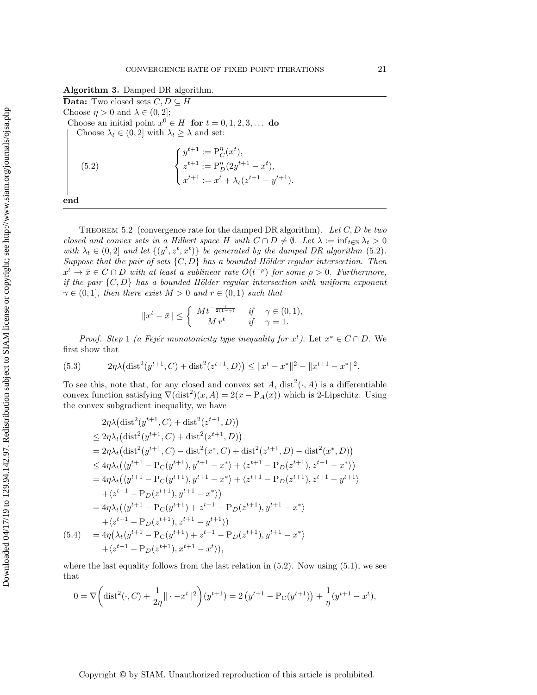<span id="page-20-0"></span>Data: Two closed sets  $C, D \subseteq H$ Choose  $\eta > 0$  and  $\lambda \in (0, 2]$ ; Choose an initial point  $x^0 \in H$  for  $t = 0, 1, 2, 3, \dots$  do Choose  $\lambda_t \in (0, 2]$  with  $\lambda_t \geq \lambda$  and set: (5.2)  $\sqrt{ }$  $\int$  $\overline{a}$  $y^{t+1} := \mathrm{P}_{C}^{\eta}(x^{t}),$  $z^{t+1} := \mathcal{P}_D^{\eta} (2y^{t+1} - x^t),$  $x^{t+1} := x^t + \lambda_t (z^{t+1} - y^{t+1}).$ end

THEOREM 5.2 (convergence rate for the damped DR algorithm). Let  $C, D$  be two closed and convex sets in a Hilbert space H with  $C \cap D \neq \emptyset$ . Let  $\lambda := \inf_{t \in \mathbb{N}} \lambda_t > 0$ with  $\lambda_t \in (0,2]$  and let  $\{(y^t, z^t, x^t)\}$  be generated by the damped DR algorithm [\(5.2\)](#page-20-0). Suppose that the pair of sets  $\{C, D\}$  has a bounded Hölder regular intersection. Then  $x^t \to \bar{x} \in C \cap D$  with at least a sublinear rate  $O(t^{-\rho})$  for some  $\rho > 0$ . Furthermore, if the pair  $\{C, D\}$  has a bounded Hölder regular intersection with uniform exponent  $\gamma \in (0,1]$ , then there exist  $M > 0$  and  $r \in (0,1)$  such that

$$
||x^t - \bar{x}|| \le \begin{cases} Mt^{-\frac{\gamma}{2(1-\gamma)}} & \text{if } \gamma \in (0,1), \\ Mt^t & \text{if } \gamma = 1. \end{cases}
$$

*Proof.* Step 1 (a Fejér monotonicity type inequality for  $x^t$ ). Let  $x^* \in C \cap D$ . We first show that

<span id="page-20-2"></span>(5.3) 
$$
2\eta\lambda\big(\text{dist}^2(y^{t+1},C) + \text{dist}^2(z^{t+1},D)\big) \leq \|x^t - x^*\|^2 - \|x^{t+1} - x^*\|^2.
$$

To see this, note that, for any closed and convex set A,  $dist^2(\cdot, A)$  is a differentiable convex function satisfying  $\nabla(\text{dist}^2)(x, A) = 2(x - P_A(x))$  which is 2-Lipschitz. Using the convex subgradient inequality, we have

<span id="page-20-1"></span>
$$
2\eta\lambda\left(\text{dist}^{2}(y^{t+1}, C) + \text{dist}^{2}(z^{t+1}, D)\right)
$$
\n
$$
\leq 2\eta\lambda_{t}\left(\text{dist}^{2}(y^{t+1}, C) + \text{dist}^{2}(z^{t+1}, D)\right)
$$
\n
$$
= 2\eta\lambda_{t}\left(\text{dist}^{2}(y^{t+1}, C) - \text{dist}^{2}(x^{*}, C) + \text{dist}^{2}(z^{t+1}, D) - \text{dist}^{2}(x^{*}, D)\right)
$$
\n
$$
\leq 4\eta\lambda_{t}\left(\langle y^{t+1} - \text{P}_{C}(y^{t+1}), y^{t+1} - x^{*}\rangle + \langle z^{t+1} - \text{P}_{D}(z^{t+1}), z^{t+1} - x^{*}\rangle\right)
$$
\n
$$
= 4\eta\lambda_{t}\left(\langle y^{t+1} - \text{P}_{C}(y^{t+1}), y^{t+1} - x^{*}\rangle + \langle z^{t+1} - \text{P}_{D}(z^{t+1}), z^{t+1} - y^{t+1}\rangle\right)
$$
\n
$$
+ \langle z^{t+1} - \text{P}_{D}(z^{t+1}), y^{t+1} - x^{*}\rangle\right)
$$
\n
$$
= 4\eta\lambda_{t}\left(\langle y^{t+1} - \text{P}_{C}(y^{t+1}) + z^{t+1} - \text{P}_{D}(z^{t+1}), y^{t+1} - x^{*}\rangle\right)
$$
\n
$$
+ \langle z^{t+1} - \text{P}_{D}(z^{t+1}), z^{t+1} - y^{t+1}\rangle\right)
$$
\n(5.4) 
$$
= 4\eta\left(\lambda_{t}\langle y^{t+1} - \text{P}_{C}(y^{t+1}) + z^{t+1} - \text{P}_{D}(z^{t+1}), y^{t+1} - x^{*}\rangle\right)
$$
\n
$$
+ \langle z^{t+1} - \text{P}_{D}(z^{t+1}), x^{t+1} - x^{*}\rangle\right),
$$

where the last equality follows from the last relation in  $(5.2)$ . Now using  $(5.1)$ , we see that

$$
0 = \nabla \left( \text{dist}^2(\cdot, C) + \frac{1}{2\eta} \|\cdot - x^t\|^2 \right) (y^{t+1}) = 2 \left( y^{t+1} - \text{P}_{\text{C}}(y^{t+1}) \right) + \frac{1}{\eta} (y^{t+1} - x^t),
$$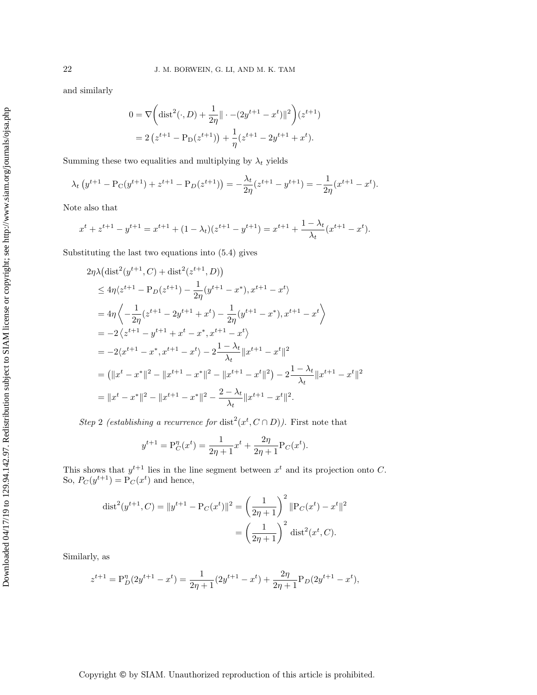and similarly

$$
0 = \nabla \left( \text{dist}^2(\cdot, D) + \frac{1}{2\eta} \|\cdot - (2y^{t+1} - x^t) \|^2 \right) (z^{t+1})
$$
  
=  $2 \left( z^{t+1} - \text{P}_{\text{D}}(z^{t+1}) \right) + \frac{1}{\eta} (z^{t+1} - 2y^{t+1} + x^t).$ 

Summing these two equalities and multiplying by  $\lambda_t$  yields

$$
\lambda_t \left( y^{t+1} - \mathcal{P}_C(y^{t+1}) + z^{t+1} - \mathcal{P}_D(z^{t+1}) \right) = -\frac{\lambda_t}{2\eta} (z^{t+1} - y^{t+1}) = -\frac{1}{2\eta} (x^{t+1} - x^t).
$$

Note also that

$$
x^{t} + z^{t+1} - y^{t+1} = x^{t+1} + (1 - \lambda_{t})(z^{t+1} - y^{t+1}) = x^{t+1} + \frac{1 - \lambda_{t}}{\lambda_{t}}(x^{t+1} - x^{t}).
$$

Substituting the last two equations into [\(5.4\)](#page-20-1) gives

$$
2\eta\lambda\left(\text{dist}^{2}(y^{t+1}, C) + \text{dist}^{2}(z^{t+1}, D)\right)
$$
  
\n
$$
\leq 4\eta\langle z^{t+1} - P_{D}(z^{t+1}) - \frac{1}{2\eta}(y^{t+1} - x^{*}), x^{t+1} - x^{t}\rangle
$$
  
\n
$$
= 4\eta\left\langle -\frac{1}{2\eta}(z^{t+1} - 2y^{t+1} + x^{t}) - \frac{1}{2\eta}(y^{t+1} - x^{*}), x^{t+1} - x^{t}\right\rangle
$$
  
\n
$$
= -2\left\langle z^{t+1} - y^{t+1} + x^{t} - x^{*}, x^{t+1} - x^{t}\right\rangle
$$
  
\n
$$
= -2\langle x^{t+1} - x^{*}, x^{t+1} - x^{t}\rangle - 2\frac{1 - \lambda_{t}}{\lambda_{t}}||x^{t+1} - x^{t}||^{2}
$$
  
\n
$$
= (||x^{t} - x^{*}||^{2} - ||x^{t+1} - x^{*}||^{2} - ||x^{t+1} - x^{t}||^{2}) - 2\frac{1 - \lambda_{t}}{\lambda_{t}}||x^{t+1} - x^{t}||^{2}
$$
  
\n
$$
= ||x^{t} - x^{*}||^{2} - ||x^{t+1} - x^{*}||^{2} - \frac{2 - \lambda_{t}}{\lambda_{t}}||x^{t+1} - x^{t}||^{2}.
$$

Step 2 (establishing a recurrence for dist<sup>2</sup> $(x^t, C \cap D)$ ). First note that

$$
y^{t+1} = P_C^{\eta}(x^t) = \frac{1}{2\eta + 1}x^t + \frac{2\eta}{2\eta + 1}P_C(x^t).
$$

This shows that  $y^{t+1}$  lies in the line segment between  $x^t$  and its projection onto C. So,  $P_C(y^{t+1}) = P_C(x^t)$  and hence,

$$
\text{dist}^2(y^{t+1}, C) = \|y^{t+1} - P_C(x^t)\|^2 = \left(\frac{1}{2\eta + 1}\right)^2 \|P_C(x^t) - x^t\|^2
$$

$$
= \left(\frac{1}{2\eta + 1}\right)^2 \text{dist}^2(x^t, C).
$$

Similarly, as

$$
z^{t+1} = P_D^{\eta}(2y^{t+1} - x^t) = \frac{1}{2\eta + 1}(2y^{t+1} - x^t) + \frac{2\eta}{2\eta + 1}P_D(2y^{t+1} - x^t),
$$

Copyright © by SIAM. Unauthorized reproduction of this article is prohibited.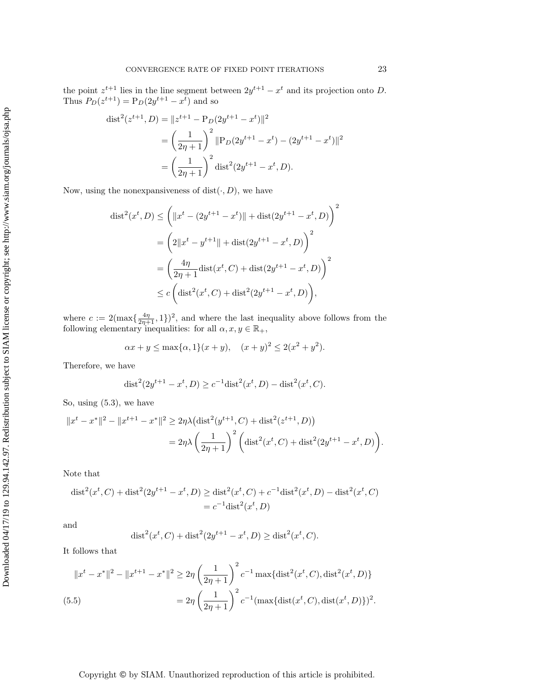the point  $z^{t+1}$  lies in the line segment between  $2y^{t+1} - x^t$  and its projection onto D. Thus  $P_D(z^{t+1}) = P_D(2y^{t+1} - x^t)$  and so

$$
\operatorname{dist}^2(z^{t+1}, D) = \|z^{t+1} - P_D(2y^{t+1} - x^t)\|^2
$$
  
=  $\left(\frac{1}{2\eta + 1}\right)^2 \|P_D(2y^{t+1} - x^t) - (2y^{t+1} - x^t)\|^2$   
=  $\left(\frac{1}{2\eta + 1}\right)^2 \operatorname{dist}^2(2y^{t+1} - x^t, D).$ 

Now, using the nonexpansiveness of  $dist(·, D)$ , we have

$$
\operatorname{dist}^{2}(x^{t}, D) \leq \left( \|x^{t} - (2y^{t+1} - x^{t})\| + \operatorname{dist}(2y^{t+1} - x^{t}, D) \right)^{2}
$$

$$
= \left( 2\|x^{t} - y^{t+1}\| + \operatorname{dist}(2y^{t+1} - x^{t}, D) \right)^{2}
$$

$$
= \left( \frac{4\eta}{2\eta + 1} \operatorname{dist}(x^{t}, C) + \operatorname{dist}(2y^{t+1} - x^{t}, D) \right)^{2}
$$

$$
\leq c \left( \operatorname{dist}^{2}(x^{t}, C) + \operatorname{dist}^{2}(2y^{t+1} - x^{t}, D) \right),
$$

where  $c := 2(\max\{\frac{4\eta}{2\eta+1}, 1\})^2$ , and where the last inequality above follows from the following elementary inequalities: for all  $\alpha, x, y \in \mathbb{R}_+$ ,

$$
\alpha x + y \le \max{\alpha, 1}(x + y), \quad (x + y)^2 \le 2(x^2 + y^2).
$$

Therefore, we have

$$
dist2(2yt+1 - xt, D) \ge c-1 dist2(xt, D) - dist2(xt, C).
$$

So, using [\(5.3\)](#page-20-2), we have

$$
||x^{t} - x^{*}||^{2} - ||x^{t+1} - x^{*}||^{2} \ge 2\eta \lambda \left(\text{dist}^{2}(y^{t+1}, C) + \text{dist}^{2}(z^{t+1}, D)\right)
$$
  
=  $2\eta \lambda \left(\frac{1}{2\eta + 1}\right)^{2} \left(\text{dist}^{2}(x^{t}, C) + \text{dist}^{2}(2y^{t+1} - x^{t}, D)\right).$ 

Note that

$$
dist^{2}(x^{t}, C) + dist^{2}(2y^{t+1} - x^{t}, D) \geq dist^{2}(x^{t}, C) + c^{-1}dist^{2}(x^{t}, D) - dist^{2}(x^{t}, C)
$$

$$
= c^{-1}dist^{2}(x^{t}, D)
$$

and

$$
dist2(xt, C) + dist2(2yt+1 - xt, D) \geq dist2(xt, C).
$$

It follows that

<span id="page-22-0"></span>
$$
||x^{t} - x^{*}||^{2} - ||x^{t+1} - x^{*}||^{2} \ge 2\eta \left(\frac{1}{2\eta + 1}\right)^{2} c^{-1} \max\{\text{dist}^{2}(x^{t}, C), \text{dist}^{2}(x^{t}, D)\}
$$
  
(5.5)
$$
= 2\eta \left(\frac{1}{2\eta + 1}\right)^{2} c^{-1} (\max\{\text{dist}(x^{t}, C), \text{dist}(x^{t}, D)\})^{2}.
$$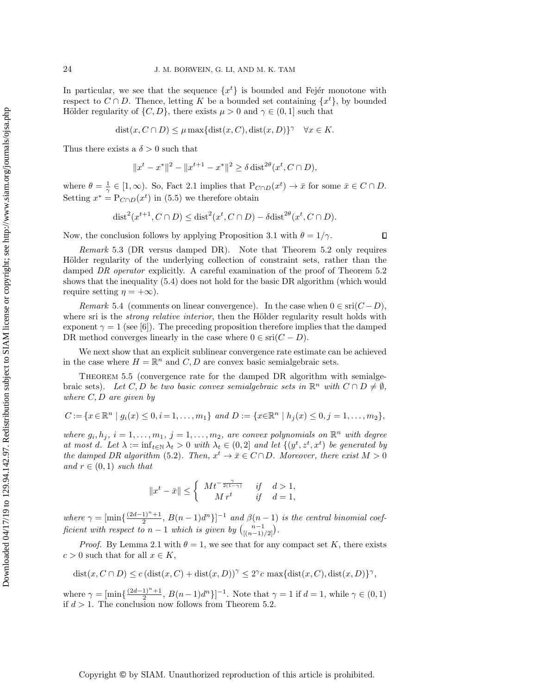In particular, we see that the sequence  $\{x^t\}$  is bounded and Fejer monotone with respect to  $C \cap D$ . Thence, letting K be a bounded set containing  $\{x^t\}$ , by bounded Hölder regularity of  $\{C, D\}$ , there exists  $\mu > 0$  and  $\gamma \in (0, 1]$  such that

$$
dist(x, C \cap D) \le \mu \max\{dist(x, C), dist(x, D)\}^{\gamma} \quad \forall x \in K.
$$

Thus there exists a  $\delta > 0$  such that

$$
||x^{t} - x^{*}||^{2} - ||x^{t+1} - x^{*}||^{2} \ge \delta \operatorname{dist}^{2\theta}(x^{t}, C \cap D),
$$

where  $\theta = \frac{1}{\gamma} \in [1, \infty)$ . So, Fact [2.1](#page-2-2) implies that  $P_{C \cap D}(x^t) \to \bar{x}$  for some  $\bar{x} \in C \cap D$ . Setting  $x^* = P_{C \cap D}(x^t)$  in [\(5.5\)](#page-22-0) we therefore obtain

$$
dist2(xt+1, C \cap D) \leq dist2(xt, C \cap D) - \delta dist2\theta(xt, C \cap D).
$$

 $\Box$ 

Now, the conclusion follows by applying Proposition [3.1](#page-6-3) with  $\theta = 1/\gamma$ .

Remark 5.3 (DR versus damped DR). Note that Theorem [5.2](#page-19-2) only requires Hölder regularity of the underlying collection of constraint sets, rather than the damped DR operator explicitly. A careful examination of the proof of Theorem [5.2](#page-19-2) shows that the inequality [\(5.4\)](#page-20-1) does not hold for the basic DR algorithm (which would require setting  $\eta = +\infty$ ).

Remark 5.4 (comments on linear convergence). In the case when  $0 \in \text{sri}(C-D)$ , where sri is the *strong relative interior*, then the Hölder regularity result holds with exponent  $\gamma = 1$  (see [\[6\]](#page-31-0)). The preceding proposition therefore implies that the damped DR method converges linearly in the case where  $0 \in \text{sri}(C - D)$ .

We next show that an explicit sublinear convergence rate estimate can be achieved in the case where  $H = \mathbb{R}^n$  and  $C, D$  are convex basic semialgebraic sets.

<span id="page-23-0"></span>THEOREM 5.5 (convergence rate for the damped DR algorithm with semialgebraic sets). Let C, D be two basic convex semialgebraic sets in  $\mathbb{R}^n$  with  $C \cap D \neq \emptyset$ , where  $C, D$  are given by

$$
C := \{ x \in \mathbb{R}^n \mid g_i(x) \le 0, i = 1, \dots, m_1 \} \text{ and } D := \{ x \in \mathbb{R}^n \mid h_j(x) \le 0, j = 1, \dots, m_2 \},
$$

where  $g_i, h_j, i = 1, \ldots, m_1, j = 1, \ldots, m_2$ , are convex polynomials on  $\mathbb{R}^n$  with degree at most d. Let  $\lambda := \inf_{t \in \mathbb{N}} \lambda_t > 0$  with  $\lambda_t \in (0, 2]$  and let  $\{(y^t, z^t, x^t)$  be generated by the damped DR algorithm [\(5.2\)](#page-20-0). Then,  $x^t \to \bar{x} \in C \cap D$ . Moreover, there exist  $M > 0$ and  $r \in (0,1)$  such that

$$
||x^t - \bar{x}|| \le \begin{cases} Mt^{-\frac{\gamma}{2(1-\gamma)}} & \text{if} \quad d > 1, \\ M r^t & \text{if} \quad d = 1, \end{cases}
$$

where  $\gamma = \left[\min\left\{\frac{(2d-1)^n + 1}{2}\right\}\right]$  $\frac{1}{2}^{n+1}$ ,  $B(n-1)d^{n}\}]^{-1}$  and  $\beta(n-1)$  is the central binomial coefficient with respect to  $n-1$  which is given by  $\binom{n-1}{[(n-1)/2]}$ .

*Proof.* By Lemma [2.1](#page-4-2) with  $\theta = 1$ , we see that for any compact set K, there exists  $c > 0$  such that for all  $x \in K$ ,

$$
dist(x, C \cap D) \le c \left( dist(x, C) + dist(x, D) \right)^{\gamma} \le 2^{\gamma} c \max \{ dist(x, C), dist(x, D) \}^{\gamma},
$$

where  $\gamma = \left[\min\left\{\frac{(2d-1)^n + 1}{2}\right\}\right]$  $\frac{1}{2}^{n+1}$ ,  $B(n-1)d^{n}\}]^{-1}$ . Note that  $\gamma = 1$  if  $d = 1$ , while  $\gamma \in (0,1)$ if  $d > 1$ . The conclusion now follows from Theorem [5.2.](#page-19-2)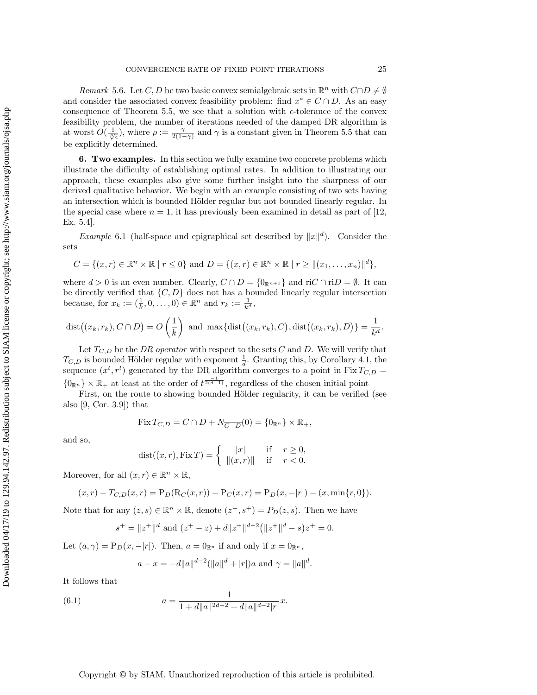Remark 5.6. Let C, D be two basic convex semialgebraic sets in  $\mathbb{R}^n$  with  $C \cap D \neq \emptyset$ and consider the associated convex feasibility problem: find  $x^* \in C \cap D$ . As an easy consequence of Theorem [5.5,](#page-23-0) we see that a solution with  $\epsilon$ -tolerance of the convex feasibility problem, the number of iterations needed of the damped DR algorithm is at worst  $\widehat{O(\frac{1}{\sqrt[\ell]{\epsilon}})}$ , where  $\rho := \frac{\gamma}{2(1-\gamma)}$  and  $\gamma$  is a constant given in Theorem [5.5](#page-23-0) that can be explicitly determined.

<span id="page-24-0"></span>6. Two examples. In this section we fully examine two concrete problems which illustrate the difficulty of establishing optimal rates. In addition to illustrating our approach, these examples also give some further insight into the sharpness of our derived qualitative behavior. We begin with an example consisting of two sets having an intersection which is bounded Hölder regular but not bounded linearly regular. In the special case where  $n = 1$ , it has previously been examined in detail as part of [\[12,](#page-31-18) Ex. 5.4].

*Example* 6.1 (half-space and epigraphical set described by  $||x||^d$ ). Consider the sets

$$
C = \{(x,r) \in \mathbb{R}^n \times \mathbb{R} \mid r \leq 0\} \text{ and } D = \{(x,r) \in \mathbb{R}^n \times \mathbb{R} \mid r \geq ||(x_1,\ldots,x_n)||^d\},\
$$

where  $d > 0$  is an even number. Clearly,  $C \cap D = \{0_{\mathbb{R}^{n+1}}\}$  and ri $C \cap \text{ri}D = \emptyset$ . It can be directly verified that  $\{C, D\}$  does not has a bounded linearly regular intersection because, for  $x_k := (\frac{1}{k}, 0, \dots, 0) \in \mathbb{R}^n$  and  $r_k := \frac{1}{k^d}$ ,

$$
dist((x_k, r_k), C \cap D) = O\left(\frac{1}{k}\right) \text{ and } max\{dist((x_k, r_k), C), dist((x_k, r_k), D)\} = \frac{1}{k^d}.
$$

Let  $T_{C,D}$  be the DR operator with respect to the sets C and D. We will verify that  $T_{C,D}$  is bounded Hölder regular with exponent  $\frac{1}{d}$ . Granting this, by Corollary [4.1,](#page-16-2) the sequence  $(x^t, r^t)$  generated by the DR algorithm converges to a point in Fix  $T_{C,D}$  =  ${0}_{\mathbb{R}^n}$  ×  $\mathbb{R}_+$  at least at the order of  $t^{\frac{-1}{2(d-1)}}$ , regardless of the chosen initial point

First, on the route to showing bounded Hölder regularity, it can be verified (see also [\[9,](#page-31-28) Cor. 3.9]) that

Fix 
$$
T_{C,D} = C \cap D + N_{\overline{C-D}}(0) = \{0_{\mathbb{R}^n}\} \times \mathbb{R}_+,
$$

and so,

$$
dist((x, r), Fix T) = \begin{cases} ||x|| & \text{if } r \ge 0, \\ ||(x, r)|| & \text{if } r < 0. \end{cases}
$$

Moreover, for all  $(x, r) \in \mathbb{R}^n \times \mathbb{R}$ ,

$$
(x,r) - T_{C,D}(x,r) = P_D(R_C(x,r)) - P_C(x,r) = P_D(x,-|r|) - (x, \min\{r,0\}).
$$

Note that for any  $(z, s) \in \mathbb{R}^n \times \mathbb{R}$ , denote  $(z^+, s^+) = P_D(z, s)$ . Then we have

$$
s^+ = ||z^+||^d
$$
 and  $(z^+ - z) + d||z^+||^{d-2} (||z^+||^d - s)z^+ = 0.$ 

Let  $(a, \gamma) = P_D(x, -|r|)$ . Then,  $a = 0_{\mathbb{R}^n}$  if and only if  $x = 0_{\mathbb{R}^n}$ ,

<span id="page-24-1"></span>
$$
a - x = -d||a||^{d-2}(||a||^d + |r|)a
$$
 and  $\gamma = ||a||^d$ .

It follows that

(6.1) 
$$
a = \frac{1}{1 + d||a||^{2d-2} + d||a||^{d-2}|r|}x.
$$

## Copyright © by SIAM. Unauthorized reproduction of this article is prohibited.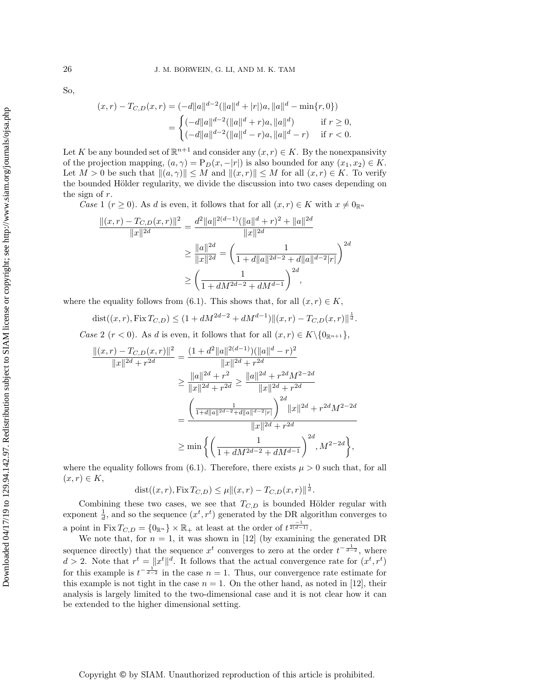So,

$$
(x,r) - T_{C,D}(x,r) = (-d||a||^{d-2} (||a||^d + |r|)a, ||a||^d - \min\{r, 0\})
$$
  
= 
$$
\begin{cases} (-d||a||^{d-2} (||a||^d + r)a, ||a||^d) & \text{if } r \ge 0, \\ (-d||a||^{d-2} (||a||^d - r)a, ||a||^d - r) & \text{if } r < 0. \end{cases}
$$

Let K be any bounded set of  $\mathbb{R}^{n+1}$  and consider any  $(x, r) \in K$ . By the nonexpansivity of the projection mapping,  $(a, \gamma) = P_D(x, -|r|)$  is also bounded for any  $(x_1, x_2) \in K$ . Let  $M > 0$  be such that  $\|(a, \gamma)\| \leq M$  and  $\|(x, r)\| \leq M$  for all  $(x, r) \in K$ . To verify the bounded Hölder regularity, we divide the discussion into two cases depending on the sign of r.

Case 1 ( $r \ge 0$ ). As d is even, it follows that for all  $(x, r) \in K$  with  $x \ne 0_{\mathbb{R}^n}$ 

$$
\frac{\|(x,r) - T_{C,D}(x,r)\|^2}{\|x\|^{2d}} = \frac{d^2 \|a\|^{2(d-1)} (\|a\|^d + r)^2 + \|a\|^{2d}}{\|x\|^{2d}}
$$

$$
\geq \frac{\|a\|^{2d}}{\|x\|^{2d}} = \left(\frac{1}{1+d\|a\|^{2d-2} + d\|a\|^{d-2}|r|}\right)^{2d}
$$

$$
\geq \left(\frac{1}{1+dM^{2d-2} + dM^{d-1}}\right)^{2d},
$$

where the equality follows from [\(6.1\)](#page-24-1). This shows that, for all  $(x, r) \in K$ ,

dist
$$
((x,r), \text{Fix } T_{C,D}) \leq (1 + dM^{2d-2} + dM^{d-1}) ||(x,r) - T_{C,D}(x,r)||^{\frac{1}{d}}
$$
.

Case 2 ( $r < 0$ ). As d is even, it follows that for all  $(x, r) \in K \setminus \{0_{\mathbb{R}^{n+1}}\},$ 

$$
\frac{\|(x,r) - T_{C,D}(x,r)\|^2}{\|x\|^{2d} + r^{2d}} = \frac{(1+d^2\|a\|^{2(d-1)})(\|a\|^d - r)^2}{\|x\|^{2d} + r^{2d}}
$$

$$
\geq \frac{\|a\|^{2d} + r^2}{\|x\|^{2d} + r^{2d}} \geq \frac{\|a\|^{2d} + r^{2d}M^{2-2d}}{\|x\|^{2d} + r^{2d}}
$$

$$
= \frac{\left(\frac{1}{1+d\|a\|^{2d-2} + d\|a\|^{d-2}|r|}\right)^{2d}}{\|x\|^{2d} + r^{2d}} \|x\|^{2d} + r^{2d}M^{2-2d}
$$

$$
\geq \min\left\{\left(\frac{1}{1+dM^{2d-2} + dM^{d-1}}\right)^{2d}, M^{2-2d}\right\},
$$

where the equality follows from [\(6.1\)](#page-24-1). Therefore, there exists  $\mu > 0$  such that, for all  $(x, r) \in K$ ,

dist
$$
((x,r), \text{Fix } T_{C,D}) \leq \mu ||(x,r) - T_{C,D}(x,r)||^{\frac{1}{d}}
$$
.

Combining these two cases, we see that  $T_{C,D}$  is bounded Hölder regular with exponent  $\frac{1}{d}$ , and so the sequence  $(x^t, r^t)$  generated by the DR algorithm converges to a point in  $\text{Fix } T_{C,D} = \{0_{\mathbb{R}^n}\}\times\mathbb{R}_+$  at least at the order of  $t^{\frac{-1}{2(d-1)}}$ .

We note that, for  $n = 1$ , it was shown in [\[12\]](#page-31-18) (by examining the generated DR sequence directly) that the sequence  $x^t$  converges to zero at the order  $t^{-\frac{1}{d-2}}$ , where  $d > 2$ . Note that  $r^t = ||x^t||^d$ . It follows that the actual convergence rate for  $(x^t, r^t)$ for this example is  $t^{-\frac{1}{d-2}}$  in the case  $n = 1$ . Thus, our convergence rate estimate for this example is not tight in the case  $n = 1$ . On the other hand, as noted in [\[12\]](#page-31-18), their analysis is largely limited to the two-dimensional case and it is not clear how it can be extended to the higher dimensional setting.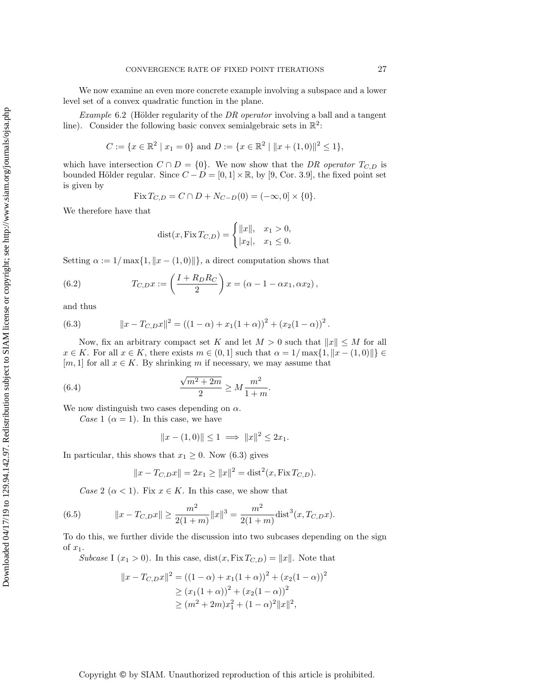We now examine an even more concrete example involving a subspace and a lower level set of a convex quadratic function in the plane.

<span id="page-26-4"></span>Example 6.2 (Hölder regularity of the DR operator involving a ball and a tangent line). Consider the following basic convex semialgebraic sets in  $\mathbb{R}^2$ :

$$
C := \{ x \in \mathbb{R}^2 \mid x_1 = 0 \} \text{ and } D := \{ x \in \mathbb{R}^2 \mid ||x + (1,0)||^2 \le 1 \},
$$

which have intersection  $C \cap D = \{0\}$ . We now show that the DR operator  $T_{C,D}$  is bounded Hölder regular. Since  $C - D = [0, 1] \times \mathbb{R}$ , by [\[9,](#page-31-28) Cor. 3.9], the fixed point set is given by

Fix 
$$
T_{C,D} = C \cap D + N_{C-D}(0) = (-\infty, 0] \times \{0\}.
$$

We therefore have that

<span id="page-26-3"></span>
$$
dist(x, Fix T_{C,D}) = \begin{cases} ||x||, & x_1 > 0, \\ |x_2|, & x_1 \le 0. \end{cases}
$$

Setting  $\alpha := 1/\max\{1, \|x - (1, 0)\|\}$ , a direct computation shows that

(6.2) 
$$
T_{C,D}x := \left(\frac{I + R_D R_C}{2}\right)x = (\alpha - 1 - \alpha x_1, \alpha x_2),
$$

and thus

<span id="page-26-0"></span>(6.3) 
$$
||x - T_{C,D}x||^{2} = ((1 - \alpha) + x_{1}(1 + \alpha))^{2} + (x_{2}(1 - \alpha))^{2}.
$$

Now, fix an arbitrary compact set K and let  $M > 0$  such that  $||x|| \leq M$  for all  $x \in K$ . For all  $x \in K$ , there exists  $m \in (0, 1]$  such that  $\alpha = 1/\max\{1, \|x - (1, 0)\| \} \in$  $[m, 1]$  for all  $x \in K$ . By shrinking m if necessary, we may assume that

.

$$
\frac{\sqrt{m^2 + 2m}}{2} \ge M \frac{m^2}{1+m}
$$

We now distinguish two cases depending on  $\alpha$ .

Case 1 ( $\alpha = 1$ ). In this case, we have

<span id="page-26-2"></span>
$$
||x - (1,0)|| \le 1 \implies ||x||^2 \le 2x_1.
$$

In particular, this shows that  $x_1 \geq 0$ . Now [\(6.3\)](#page-26-0) gives

$$
||x - T_{C,D}x|| = 2x_1 \ge ||x||^2 = \text{dist}^2(x, \text{Fix } T_{C,D}).
$$

<span id="page-26-1"></span>Case 2 ( $\alpha$  < 1). Fix  $x \in K$ . In this case, we show that

(6.5) 
$$
||x - T_{C,D}x|| \ge \frac{m^2}{2(1+m)} ||x||^3 = \frac{m^2}{2(1+m)} \text{dist}^3(x, T_{C,D}x).
$$

To do this, we further divide the discussion into two subcases depending on the sign of  $x_1$ .

Subcase I  $(x_1 > 0)$ . In this case, dist $(x, \text{Fix } T_{C,D}) = ||x||$ . Note that

$$
||x - T_{C,D}x||^2 = ((1 - \alpha) + x_1(1 + \alpha))^2 + (x_2(1 - \alpha))^2
$$
  
\n
$$
\ge (x_1(1 + \alpha))^2 + (x_2(1 - \alpha))^2
$$
  
\n
$$
\ge (m^2 + 2m)x_1^2 + (1 - \alpha)^2 ||x||^2,
$$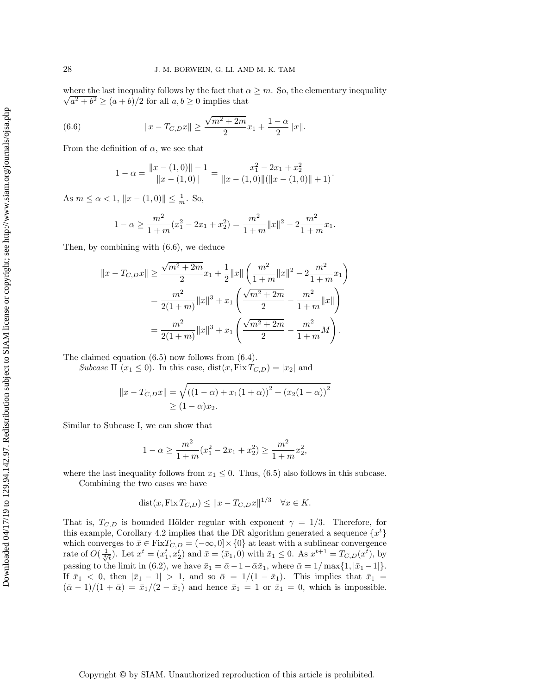where the last inequality follows by the fact that  $\alpha \geq m$ . So, the elementary inequality  $a^2 + b^2 \ge (a + b)/2$  for all  $a, b \ge 0$  implies that

(6.6) 
$$
||x - T_{C,D}x|| \ge \frac{\sqrt{m^2 + 2m}}{2}x_1 + \frac{1 - \alpha}{2} ||x||.
$$

From the definition of  $\alpha$ , we see that

<span id="page-27-0"></span>
$$
1 - \alpha = \frac{\|x - (1,0)\| - 1}{\|x - (1,0)\|} = \frac{x_1^2 - 2x_1 + x_2^2}{\|x - (1,0)\| (\|x - (1,0)\| + 1)}.
$$

As  $m \le \alpha < 1$ ,  $||x - (1, 0)|| \le \frac{1}{m}$ . So,

$$
1 - \alpha \ge \frac{m^2}{1 + m}(x_1^2 - 2x_1 + x_2^2) = \frac{m^2}{1 + m} ||x||^2 - 2\frac{m^2}{1 + m}x_1.
$$

Then, by combining with [\(6.6\)](#page-27-0), we deduce

$$
||x - T_{C,D}x|| \ge \frac{\sqrt{m^2 + 2m}}{2} x_1 + \frac{1}{2} ||x|| \left( \frac{m^2}{1 + m} ||x||^2 - 2\frac{m^2}{1 + m} x_1 \right)
$$
  
= 
$$
\frac{m^2}{2(1 + m)} ||x||^3 + x_1 \left( \frac{\sqrt{m^2 + 2m}}{2} - \frac{m^2}{1 + m} ||x|| \right)
$$
  
= 
$$
\frac{m^2}{2(1 + m)} ||x||^3 + x_1 \left( \frac{\sqrt{m^2 + 2m}}{2} - \frac{m^2}{1 + m} M \right).
$$

The claimed equation [\(6.5\)](#page-26-1) now follows from [\(6.4\)](#page-26-2).

Subcase II  $(x_1 \leq 0)$ . In this case,  $dist(x, Fix T_{C,D}) = |x_2|$  and

$$
||x - T_{C,D}x|| = \sqrt{((1 - \alpha) + x_1(1 + \alpha))^2 + (x_2(1 - \alpha))^2}
$$
  
\n
$$
\geq (1 - \alpha)x_2.
$$

Similar to Subcase I, we can show that

$$
1 - \alpha \ge \frac{m^2}{1 + m} (x_1^2 - 2x_1 + x_2^2) \ge \frac{m^2}{1 + m} x_2^2,
$$

where the last inequality follows from  $x_1 \leq 0$ . Thus, [\(6.5\)](#page-26-1) also follows in this subcase.

Combining the two cases we have

$$
dist(x, \text{Fix}\, T_{C,D}) \le ||x - T_{C,D}x||^{1/3} \quad \forall x \in K.
$$

That is,  $T_{C,D}$  is bounded Hölder regular with exponent  $\gamma = 1/3$ . Therefore, for this example, Corollary [4.2](#page-18-1) implies that the DR algorithm generated a sequence  $\{x^t\}$ which converges to  $\bar{x} \in \text{Fix}T_{C,D} = (-\infty,0] \times \{0\}$  at least with a sublinear convergence rate of  $O(\frac{1}{\sqrt[4]{t}})$ . Let  $x^t = (x_1^t, x_2^t)$  and  $\bar{x} = (\bar{x}_1, 0)$  with  $\bar{x}_1 \leq 0$ . As  $x^{t+1} = T_{C,D}(x^t)$ , by passing to the limit in [\(6.2\)](#page-26-3), we have  $\bar{x}_1 = \bar{\alpha} - 1 - \bar{\alpha} \bar{x}_1$ , where  $\bar{\alpha} = 1/\max\{1, |\bar{x}_1 - 1|\}.$ If  $\bar{x}_1 < 0$ , then  $|\bar{x}_1 - 1| > 1$ , and so  $\bar{\alpha} = 1/(1 - \bar{x}_1)$ . This implies that  $\bar{x}_1 =$  $(\bar{\alpha}-1)/(1+\bar{\alpha}) = \bar{x}_1/(2-\bar{x}_1)$  and hence  $\bar{x}_1 = 1$  or  $\bar{x}_1 = 0$ , which is impossible.

Copyright © by SIAM. Unauthorized reproduction of this article is prohibited.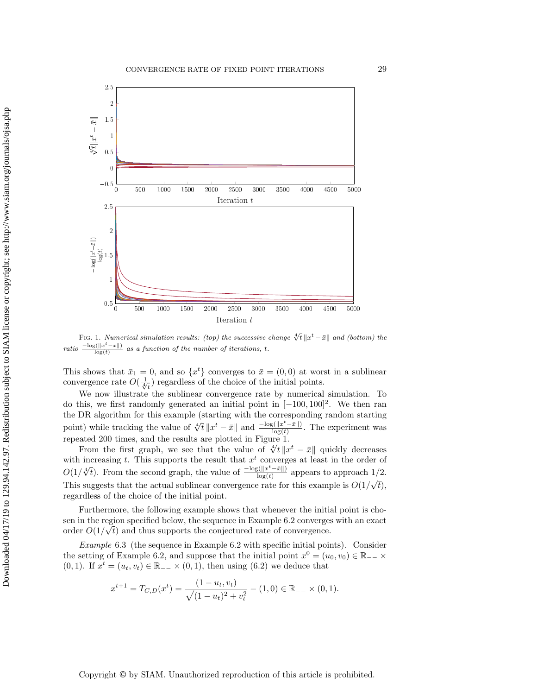<span id="page-28-0"></span>

FIG. 1. Numerical simulation results: (top) the successive change  $\sqrt[4]{t} ||x^t - \bar{x}||$  and (bottom) the ratio  $\frac{-\log(\Vert x^t - \bar{x} \Vert)}{\log(t)}$  as a function of the number of iterations, t.

This shows that  $\bar{x}_1 = 0$ , and so  $\{x^t\}$  converges to  $\bar{x} = (0,0)$  at worst in a sublinear convergence rate  $O(\frac{1}{\sqrt[4]{t}})$  regardless of the choice of the initial points.

We now illustrate the sublinear convergence rate by numerical simulation. To do this, we first randomly generated an initial point in  $[-100, 100]^2$ . We then ran the DR algorithm for this example (starting with the corresponding random starting point) while tracking the value of  $\sqrt[4]{t} ||x^t - \bar{x}||$  and  $\frac{-\log(||x^t - \bar{x}||)}{\log(t)}$  $\frac{\mathfrak{f}(\Vert x^{\cdot} - x \Vert)}{\log(t)}$ . The experiment was repeated 200 times, and the results are plotted in Figure [1.](#page-28-0)

ated 200 times, and the results are plotted in Figure 1.<br>From the first graph, we see that the value of  $\sqrt[4]{t} \|x^t - \bar{x}\|$  quickly decreases with increasing t. This supports the result that  $x<sup>t</sup>$  converges at least in the order of With increasing i. This supports the result that x convergence  $O(1/\sqrt[4]{t})$ . From the second graph, the value of  $\frac{-\log(|t|)^{x-\pi}}{\log(t)}$  $\frac{\log(t)}{\log(t)}$  appears to approach  $1/2$ . This suggests that the actual sublinear convergence rate for this example is  $O(1/\sqrt{t})$ , regardless of the choice of the initial point.

Furthermore, the following example shows that whenever the initial point is chosen in the region specified below, the sequence in Example [6.2](#page-26-4) converges with an exact √ order  $O(1/\sqrt{t})$  and thus supports the conjectured rate of convergence.

Example 6.3 (the sequence in Example [6.2](#page-26-4) with specific initial points). Consider the setting of Example [6.2,](#page-26-4) and suppose that the initial point  $x^0 = (u_0, v_0) \in \mathbb{R}_{-} \times$ (0, 1). If  $x^t = (u_t, v_t) \in \mathbb{R}_{--} \times (0, 1)$ , then using [\(6.2\)](#page-26-3) we deduce that

$$
x^{t+1} = T_{C,D}(x^t) = \frac{(1 - u_t, v_t)}{\sqrt{(1 - u_t)^2 + v_t^2}} - (1, 0) \in \mathbb{R}_{-\infty} \times (0, 1).
$$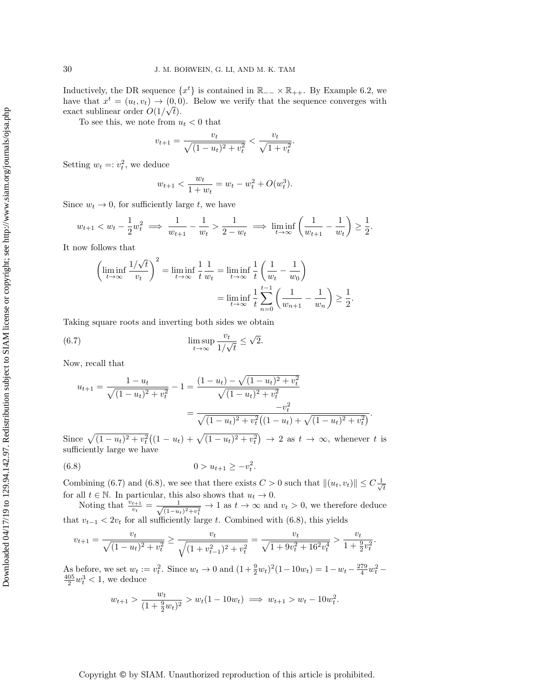Inductively, the DR sequence  $\{x^t\}$  is contained in  $\mathbb{R}_{-} \times \mathbb{R}_{++}$ . By Example [6.2,](#page-26-4) we have that  $x^t = (u_t, v_t) \rightarrow (0, 0)$ . Below we verify that the sequence converges with exact sublinear order  $O(1/\sqrt{t})$ .

To see this, we note from  $u_t < 0$  that

$$
v_{t+1} = \frac{v_t}{\sqrt{(1 - u_t)^2 + v_t^2}} < \frac{v_t}{\sqrt{1 + v_t^2}}.
$$

Setting  $w_t =: v_t^2$ , we deduce

$$
w_{t+1} < \frac{w_t}{1 + w_t} = w_t - w_t^2 + O(w_t^3).
$$

Since  $w_t \to 0$ , for sufficiently large t, we have

$$
w_{t+1} < w_t - \frac{1}{2}w_t^2 \implies \frac{1}{w_{t+1}} - \frac{1}{w_t} > \frac{1}{2 - w_t} \implies \liminf_{t \to \infty} \left(\frac{1}{w_{t+1}} - \frac{1}{w_t}\right) \ge \frac{1}{2}.
$$

It now follows that

$$
\left(\liminf_{t \to \infty} \frac{1/\sqrt{t}}{v_t}\right)^2 = \liminf_{t \to \infty} \frac{1}{t} \frac{1}{w_t} = \liminf_{t \to \infty} \frac{1}{t} \left(\frac{1}{w_t} - \frac{1}{w_0}\right)
$$

$$
= \liminf_{t \to \infty} \frac{1}{t} \sum_{n=0}^{t-1} \left(\frac{1}{w_{n+1}} - \frac{1}{w_n}\right) \ge \frac{1}{2}.
$$

Taking square roots and inverting both sides we obtain

(6.7) 
$$
\limsup_{t \to \infty} \frac{v_t}{1/\sqrt{t}} \le \sqrt{2}.
$$

Now, recall that

<span id="page-29-0"></span>
$$
u_{t+1} = \frac{1 - u_t}{\sqrt{(1 - u_t)^2 + v_t^2}} - 1 = \frac{(1 - u_t) - \sqrt{(1 - u_t)^2 + v_t^2}}{\sqrt{(1 - u_t)^2 + v_t^2}} - v_t^2
$$

$$
= \frac{-v_t^2}{\sqrt{(1 - u_t)^2 + v_t^2}((1 - u_t) + \sqrt{(1 - u_t)^2 + v_t^2})}.
$$

Since  $\sqrt{(1 - u_t)^2 + v_t^2}((1 - u_t) + \sqrt{(1 - u_t)^2 + v_t^2}) \to 2$  as  $t \to \infty$ , whenever t is sufficiently large we have

<span id="page-29-1"></span>(6.8) 
$$
0 > u_{t+1} \ge -v_t^2.
$$

Combining [\(6.7\)](#page-29-0) and [\(6.8\)](#page-29-1), we see that there exists  $C > 0$  such that  $\|(u_t, v_t)\| \leq C \frac{1}{\sqrt{2\pi}}$ t for all  $t \in \mathbb{N}$ . In particular, this also shows that  $u_t \to 0$ .

Noting that  $\frac{v_{t+1}}{v_t} = \frac{1}{\sqrt{(1-u_t)}}$  $\frac{1}{(1-u_t)^2+v_t^2} \to 1$  as  $t \to \infty$  and  $v_t > 0$ , we therefore deduce that  $v_{t-1}$  < 2 $v_t$  for all sufficiently large t. Combined with [\(6.8\)](#page-29-1), this yields

$$
v_{t+1} = \frac{v_t}{\sqrt{(1 - u_t)^2 + v_t^2}} \ge \frac{v_t}{\sqrt{(1 + v_{t-1}^2)^2 + v_t^2}} = \frac{v_t}{\sqrt{1 + 9v_t^2 + 16^2v_t^4}} > \frac{v_t}{1 + \frac{9}{2}v_t^2}.
$$

As before, we set  $w_t := v_t^2$ . Since  $w_t \to 0$  and  $(1 + \frac{9}{2}w_t)^2(1 - 10w_t) = 1 - w_t - \frac{279}{4}w_t^2$  $\frac{405}{2}w_t^3 < 1$ , we deduce

$$
w_{t+1} > \frac{w_t}{(1 + \frac{9}{2}w_t)^2} > w_t(1 - 10w_t) \implies w_{t+1} > w_t - 10w_t^2.
$$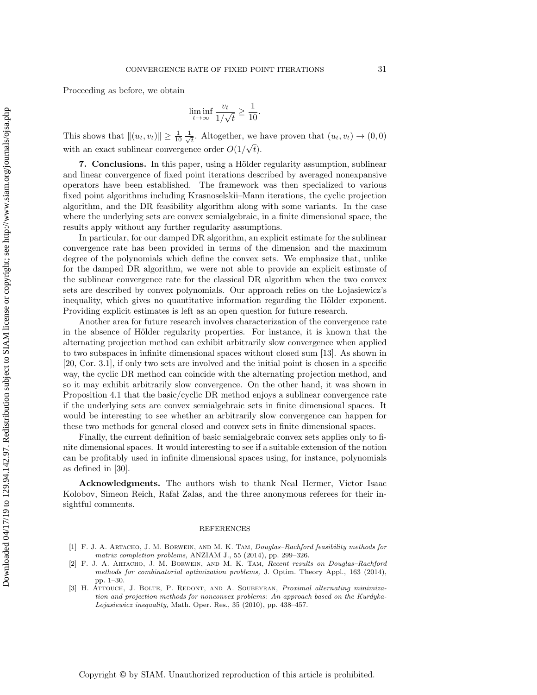Proceeding as before, we obtain

$$
\liminf_{t \to \infty} \frac{v_t}{1/\sqrt{t}} \ge \frac{1}{10}.
$$

This shows that  $\|(u_t, v_t)\| \geq \frac{1}{10} \frac{1}{\sqrt{2}}$  $\overline{t}_t$ . Altogether, we have proven that  $(u_t, v_t) \to (0, 0)$ with an exact sublinear convergence order  $O(1/\sqrt{t})$ .

<span id="page-30-3"></span>7. Conclusions. In this paper, using a Hölder regularity assumption, sublinear and linear convergence of fixed point iterations described by averaged nonexpansive operators have been established. The framework was then specialized to various fixed point algorithms including Krasnoselskii–Mann iterations, the cyclic projection algorithm, and the DR feasibility algorithm along with some variants. In the case where the underlying sets are convex semialgebraic, in a finite dimensional space, the results apply without any further regularity assumptions.

In particular, for our damped DR algorithm, an explicit estimate for the sublinear convergence rate has been provided in terms of the dimension and the maximum degree of the polynomials which define the convex sets. We emphasize that, unlike for the damped DR algorithm, we were not able to provide an explicit estimate of the sublinear convergence rate for the classical DR algorithm when the two convex sets are described by convex polynomials. Our approach relies on the Lojasiewicz's inequality, which gives no quantitative information regarding the Hölder exponent. Providing explicit estimates is left as an open question for future research.

Another area for future research involves characterization of the convergence rate in the absence of Hölder regularity properties. For instance, it is known that the alternating projection method can exhibit arbitrarily slow convergence when applied to two subspaces in infinite dimensional spaces without closed sum [\[13\]](#page-31-16). As shown in [\[20,](#page-31-10) Cor. 3.1], if only two sets are involved and the initial point is chosen in a specific way, the cyclic DR method can coincide with the alternating projection method, and so it may exhibit arbitrarily slow convergence. On the other hand, it was shown in Proposition [4.1](#page-17-0) that the basic/cyclic DR method enjoys a sublinear convergence rate if the underlying sets are convex semialgebraic sets in finite dimensional spaces. It would be interesting to see whether an arbitrarily slow convergence can happen for these two methods for general closed and convex sets in finite dimensional spaces.

Finally, the current definition of basic semialgebraic convex sets applies only to finite dimensional spaces. It would interesting to see if a suitable extension of the notion can be profitably used in infinite dimensional spaces using, for instance, polynomials as defined in [\[30\]](#page-31-29).

Acknowledgments. The authors wish to thank Neal Hermer, Victor Isaac Kolobov, Simeon Reich, Rafał Zalas, and the three anonymous referees for their insightful comments.

## **REFERENCES**

- <span id="page-30-0"></span>[1] F. J. A. Artacho, J. M. Borwein, and M. K. Tam, Douglas–Rachford feasibility methods for matrix completion problems, ANZIAM J., 55 (2014), pp. 299–326.
- <span id="page-30-1"></span>[2] F. J. A. Artacho, J. M. Borwein, and M. K. Tam, Recent results on Douglas–Rachford methods for combinatorial optimization problems, J. Optim. Theory Appl., 163 (2014), pp. 1–30.
- <span id="page-30-2"></span>[3] H. ATTOUCH, J. BOLTE, P. REDONT, AND A. SOUBEYRAN, Proximal alternating minimization and projection methods for nonconvex problems: An approach based on the Kurdyka- Lojasiewicz inequality, Math. Oper. Res., 35 (2010), pp. 438–457.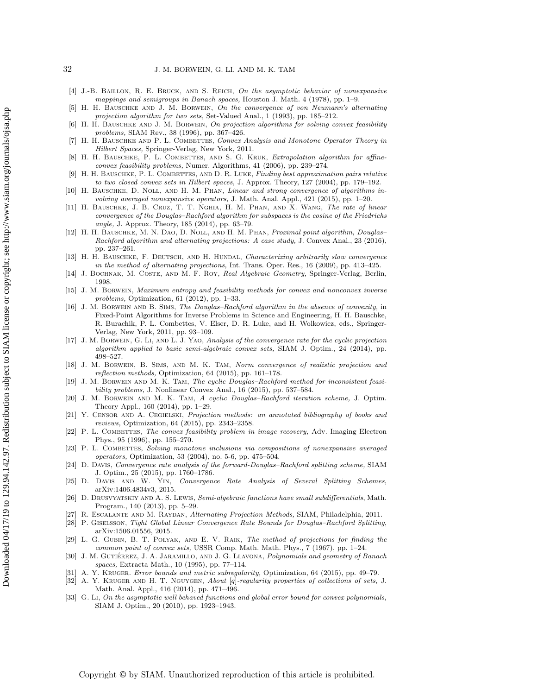- <span id="page-31-20"></span>[4] J.-B. Baillon, R. E. Bruck, and S. Reich, On the asymptotic behavior of nonexpansive mappings and semigroups in Banach spaces, Houston J. Math. 4 (1978), pp. 1–9.
- <span id="page-31-6"></span>[5] H. H. Bauschke and J. M. Borwein, On the convergence of von Neumann's alternating projection algorithm for two sets, Set-Valued Anal., 1 (1993), pp. 185–212.
- <span id="page-31-0"></span>[6] H. H. BAUSCHKE AND J. M. BORWEIN, On projection algorithms for solving convex feasibility problems, SIAM Rev., 38 (1996), pp. 367–426.
- <span id="page-31-2"></span>[7] H. H. BAUSCHKE AND P. L. COMBETTES, Convex Analysis and Monotone Operator Theory in Hilbert Spaces, Springer-Verlag, New York, 2011.
- <span id="page-31-24"></span>[8] H. H. BAUSCHKE, P. L. COMBETTES, AND S. G. KRUK, Extrapolation algorithm for affineconvex feasibility problems, Numer. Algorithms, 41 (2006), pp. 239–274.
- <span id="page-31-28"></span>[9] H. H. BAUSCHKE, P. L. COMBETTES, AND D. R. LUKE, Finding best approximation pairs relative to two closed convex sets in Hilbert spaces, J. Approx. Theory, 127 (2004), pp. 179–192.
- <span id="page-31-11"></span>[10] H. BAUSCHKE, D. NOLL, AND H. M. PHAN, *Linear and strong convergence of algorithms in*volving averaged nonexpansive operators, J. Math. Anal. Appl., 421 (2015), pp. 1–20.
- <span id="page-31-13"></span>[11] H. BAUSCHKE, J. B. CRUZ, T. T. NGHIA, H. M. PHAN, AND X. WANG, The rate of linear convergence of the Douglas–Rachford algorithm for subspaces is the cosine of the Friedrichs angle, J. Approx. Theory, 185 (2014), pp. 63–79.
- <span id="page-31-18"></span>[12] H. H. BAUSCHKE, M. N. DAO, D. NOLL, AND H. M. PHAN, Proximal point algorithm, Douglas-Rachford algorithm and alternating projections: A case study, J. Convex Anal., 23 (2016), pp. 237–261.
- <span id="page-31-16"></span>[13] H. H. BAUSCHKE, F. DEUTSCH, AND H. HUNDAL, Characterizing arbitrarily slow convergence in the method of alternating projections, Int. Trans. Oper. Res., 16 (2009), pp. 413–425.
- <span id="page-31-23"></span>[14] J. Bochnak, M. Coste, and M. F. Roy, Real Algebraic Geometry, Springer-Verlag, Berlin, 1998.
- <span id="page-31-5"></span>[15] J. M. Borwein, Maximum entropy and feasibility methods for convex and nonconvex inverse problems, Optimization, 61 (2012), pp. 1–33.
- <span id="page-31-12"></span>[16] J. M. Borwein and B. Sims, The Douglas–Rachford algorithm in the absence of convexity, in Fixed-Point Algorithms for Inverse Problems in Science and Engineering, H. H. Bauschke, R. Burachik, P. L. Combettes, V. Elser, D. R. Luke, and H. Wolkowicz, eds., Springer-Verlag, New York, 2011, pp. 93–109.
- <span id="page-31-8"></span>[17] J. M. Borwein, G. Li, and L. J. Yao, Analysis of the convergence rate for the cyclic projection algorithm applied to basic semi-algebraic convex sets, SIAM J. Optim., 24 (2014), pp. 498–527.
- <span id="page-31-27"></span>[18] J. M. Borwein, B. Sims, and M. K. Tam, Norm convergence of realistic projection and reflection methods, Optimization, 64 (2015), pp. 161–178.
- <span id="page-31-9"></span>[19] J. M. Borwein and M. K. Tam, The cyclic Douglas–Rachford method for inconsistent feasibility problems, J. Nonlinear Convex Anal., 16 (2015), pp. 537–584.
- <span id="page-31-10"></span>[20] J. M. Borwein and M. K. Tam, A cyclic Douglas–Rachford iteration scheme, J. Optim. Theory Appl., 160 (2014), pp. 1–29.
- <span id="page-31-1"></span>[21] Y. CENSOR AND A. CEGIELSKI, *Projection methods: an annotated bibliography of books and* reviews, Optimization, 64 (2015), pp. 2343–2358.
- <span id="page-31-4"></span>[22] P. L. COMBETTES, The convex feasibility problem in image recovery, Adv. Imaging Electron Phys., 95 (1996), pp. 155–270.
- <span id="page-31-26"></span>[23] P. L. COMBETTES, Solving monotone inclusions via compositions of nonexpansive averaged operators, Optimization, 53 (2004), no. 5-6, pp. 475–504.
- <span id="page-31-15"></span>[24] D. Davis, Convergence rate analysis of the forward-Douglas–Rachford splitting scheme, SIAM J. Optim., 25 (2015), pp. 1760–1786.
- <span id="page-31-17"></span>[25] D. Davis and W. Yin, Convergence Rate Analysis of Several Splitting Schemes, [arXiv:1406.4834v3,](http://arxiv.org/abs/1406.4834v3) 2015.
- <span id="page-31-25"></span>[26] D. Drusvyatskiy and A. S. Lewis, Semi-algebraic functions have small subdifferentials, Math. Program., 140 (2013), pp. 5–29.
- <span id="page-31-3"></span>[27] R. Escalante and M. Raydan, Alternating Projection Methods, SIAM, Philadelphia, 2011.
- <span id="page-31-14"></span>[28] P. Giselsson, Tight Global Linear Convergence Rate Bounds for Douglas–Rachford Splitting, [arXiv:1506.01556,](http://arxiv.org/abs/1506.01556) 2015.
- <span id="page-31-7"></span>[29] L. G. Gubin, B. T. Polyak, and E. V. Raik, The method of projections for finding the common point of convex sets, USSR Comp. Math. Math. Phys., 7 (1967), pp. 1–24.
- <span id="page-31-29"></span>J. M. GUTIÉRREZ, J. A. JARAMILLO, AND J. G. LLAVONA, Polynomials and geometry of Banach spaces, Extracta Math., 10 (1995), pp. 77–114.
- <span id="page-31-22"></span>[31] A. Y. Kruger. Error bounds and metric subregularity, Optimization, 64 (2015), pp. 49–79.
- <span id="page-31-19"></span>[32] A. Y. KRUGER AND H. T. NGUYGEN, About [q]-regularity properties of collections of sets, J. Math. Anal. Appl., 416 (2014), pp. 471–496.
- <span id="page-31-21"></span>[33] G. Li, On the asymptotic well behaved functions and global error bound for convex polynomials, SIAM J. Optim., 20 (2010), pp. 1923–1943.